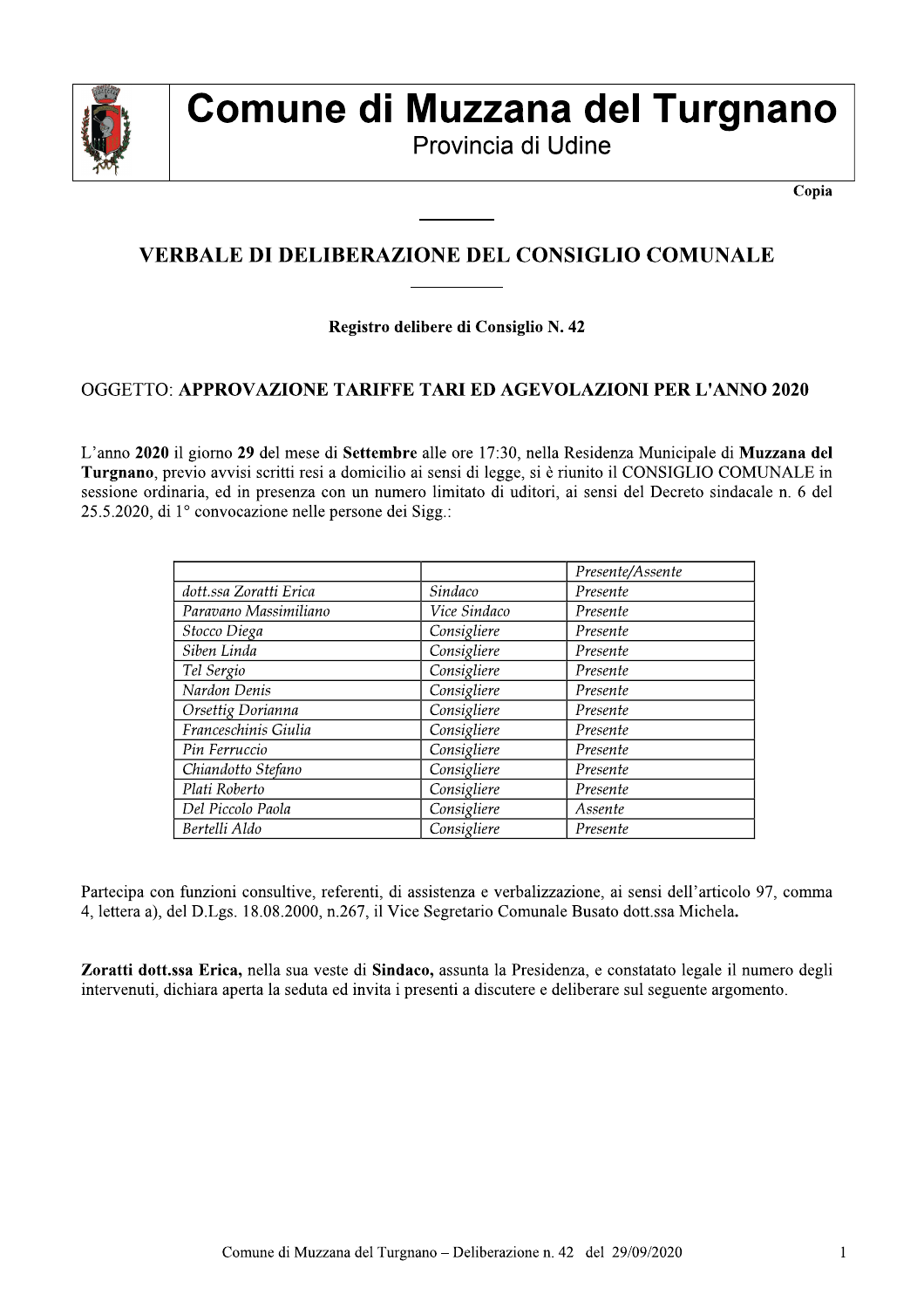

# Comune di Muzzana del Turgnano

Provincia di Udine

Copia

### **VERBALE DI DELIBERAZIONE DEL CONSIGLIO COMUNALE**

#### Registro delibere di Consiglio N. 42

#### **OGGETTO: APPROVAZIONE TARIFFE TARI ED AGEVOLAZIONI PER L'ANNO 2020**

L'anno 2020 il giorno 29 del mese di Settembre alle ore 17:30, nella Residenza Municipale di Muzzana del Turgnano, previo avvisi scritti resi a domicilio ai sensi di legge, si è riunito il CONSIGLIO COMUNALE in sessione ordinaria, ed in presenza con un numero limitato di uditori, ai sensi del Decreto sindacale n. 6 del 25.5.2020, di 1º convocazione nelle persone dei Sigg.:

|                        |              | Presente/Assente |
|------------------------|--------------|------------------|
| dott.ssa Zoratti Erica | Sindaco      | Presente         |
| Paravano Massimiliano  | Vice Sindaco | Presente         |
| Stocco Diega           | Consigliere  | Presente         |
| Siben Linda            | Consigliere  | Presente         |
| Tel Sergio             | Consigliere  | Presente         |
| Nardon Denis           | Consigliere  | Presente         |
| Orsettig Dorianna      | Consigliere  | Presente         |
| Franceschinis Giulia   | Consigliere  | Presente         |
| Pin Ferruccio          | Consigliere  | Presente         |
| Chiandotto Stefano     | Consigliere  | Presente         |
| Plati Roberto          | Consigliere  | Presente         |
| Del Piccolo Paola      | Consigliere  | Assente          |
| Bertelli Aldo          | Consigliere  | Presente         |

Partecipa con funzioni consultive, referenti, di assistenza e verbalizzazione, ai sensi dell'articolo 97, comma 4, lettera a), del D.Lgs. 18.08.2000, n.267, il Vice Segretario Comunale Busato dott.ssa Michela.

Zoratti dott.ssa Erica, nella sua veste di Sindaco, assunta la Presidenza, e constatato legale il numero degli intervenuti, dichiara aperta la seduta ed invita i presenti a discutere e deliberare sul seguente argomento.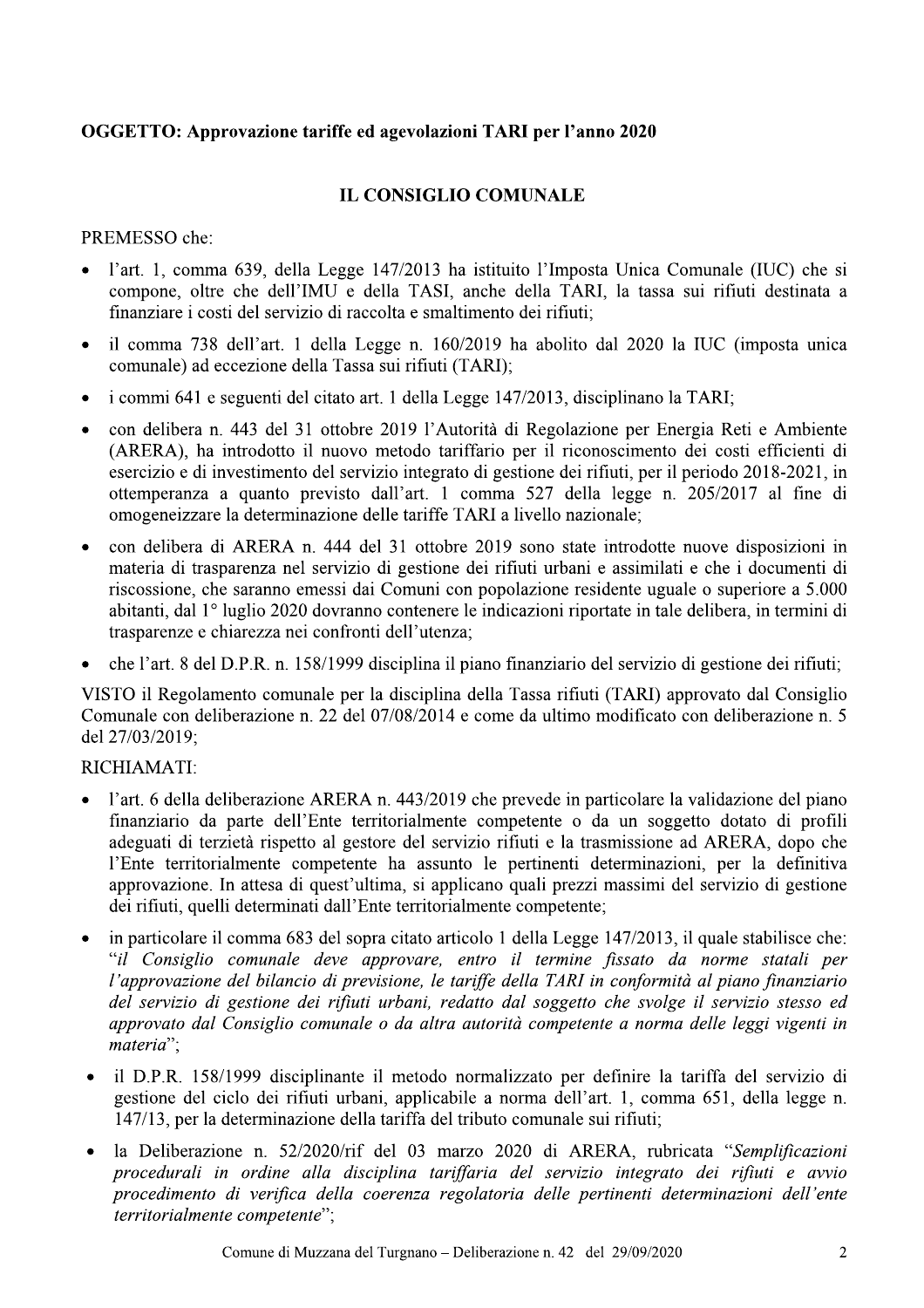#### OGGETTO: Approvazione tariffe ed agevolazioni TARI per l'anno 2020

#### **IL CONSIGLIO COMUNALE**

PREMESSO che:

- l'art. 1, comma 639, della Legge 147/2013 ha istituito l'Imposta Unica Comunale (IUC) che si compone, oltre che dell'IMU e della TASI, anche della TARI, la tassa sui rifiuti destinata a finanziare i costi del servizio di raccolta e smaltimento dei rifiuti:
- il comma 738 dell'art. 1 della Legge n. 160/2019 ha abolito dal 2020 la IUC (imposta unica comunale) ad eccezione della Tassa sui rifiuti (TARI);
- i commi 641 e seguenti del citato art. 1 della Legge 147/2013, disciplinano la TARI;
- con delibera n. 443 del 31 ottobre 2019 l'Autorità di Regolazione per Energia Reti e Ambiente  $\bullet$ (ARERA), ha introdotto il nuovo metodo tariffario per il riconoscimento dei costi efficienti di esercizio e di investimento del servizio integrato di gestione dei rifiuti, per il periodo 2018-2021, in ottemperanza a quanto previsto dall'art. 1 comma 527 della legge n. 205/2017 al fine di omogeneizzare la determinazione delle tariffe TARI a livello nazionale;
- con delibera di ARERA n. 444 del 31 ottobre 2019 sono state introdotte nuove disposizioni in  $\bullet$ materia di trasparenza nel servizio di gestione dei rifiuti urbani e assimilati e che i documenti di riscossione, che saranno emessi dai Comuni con popolazione residente uguale o superiore a 5.000 abitanti, dal 1º luglio 2020 dovranno contenere le indicazioni riportate in tale delibera, in termini di trasparenze e chiarezza nei confronti dell'utenza:
- che l'art. 8 del D.P.R. n. 158/1999 disciplina il piano finanziario del servizio di gestione dei rifiuti;

VISTO il Regolamento comunale per la disciplina della Tassa rifiuti (TARI) approvato dal Consiglio Comunale con deliberazione n. 22 del 07/08/2014 e come da ultimo modificato con deliberazione n. 5 del 27/03/2019:

#### RICHIAMATI:

- l'art. 6 della deliberazione ARERA n. 443/2019 che prevede in particolare la validazione del piano finanziario da parte dell'Ente territorialmente competente o da un soggetto dotato di profili adeguati di terzietà rispetto al gestore del servizio rifiuti e la trasmissione ad ARERA, dopo che l'Ente territorialmente competente ha assunto le pertinenti determinazioni, per la definitiva approvazione. In attesa di quest'ultima, si applicano quali prezzi massimi del servizio di gestione dei rifiuti, quelli determinati dall'Ente territorialmente competente;
- in particolare il comma 683 del sopra citato articolo 1 della Legge 147/2013, il quale stabilisce che:  $\bullet$ "il Consiglio comunale deve approvare, entro il termine fissato da norme statali per l'approvazione del bilancio di previsione, le tariffe della TARI in conformità al piano finanziario del servizio di gestione dei rifiuti urbani, redatto dal soggetto che svolge il servizio stesso ed approvato dal Consiglio comunale o da altra autorità competente a norma delle leggi vigenti in materia";
- il D.P.R. 158/1999 disciplinante il metodo normalizzato per definire la tariffa del servizio di gestione del ciclo dei rifiuti urbani, applicabile a norma dell'art. 1, comma 651, della legge n. 147/13, per la determinazione della tariffa del tributo comunale sui rifiuti;
- la Deliberazione n. 52/2020/rif del 03 marzo 2020 di ARERA, rubricata "Semplificazioni procedurali in ordine alla disciplina tariffaria del servizio integrato dei rifiuti e avvio procedimento di verifica della coerenza regolatoria delle pertinenti determinazioni dell'ente territorialmente competente";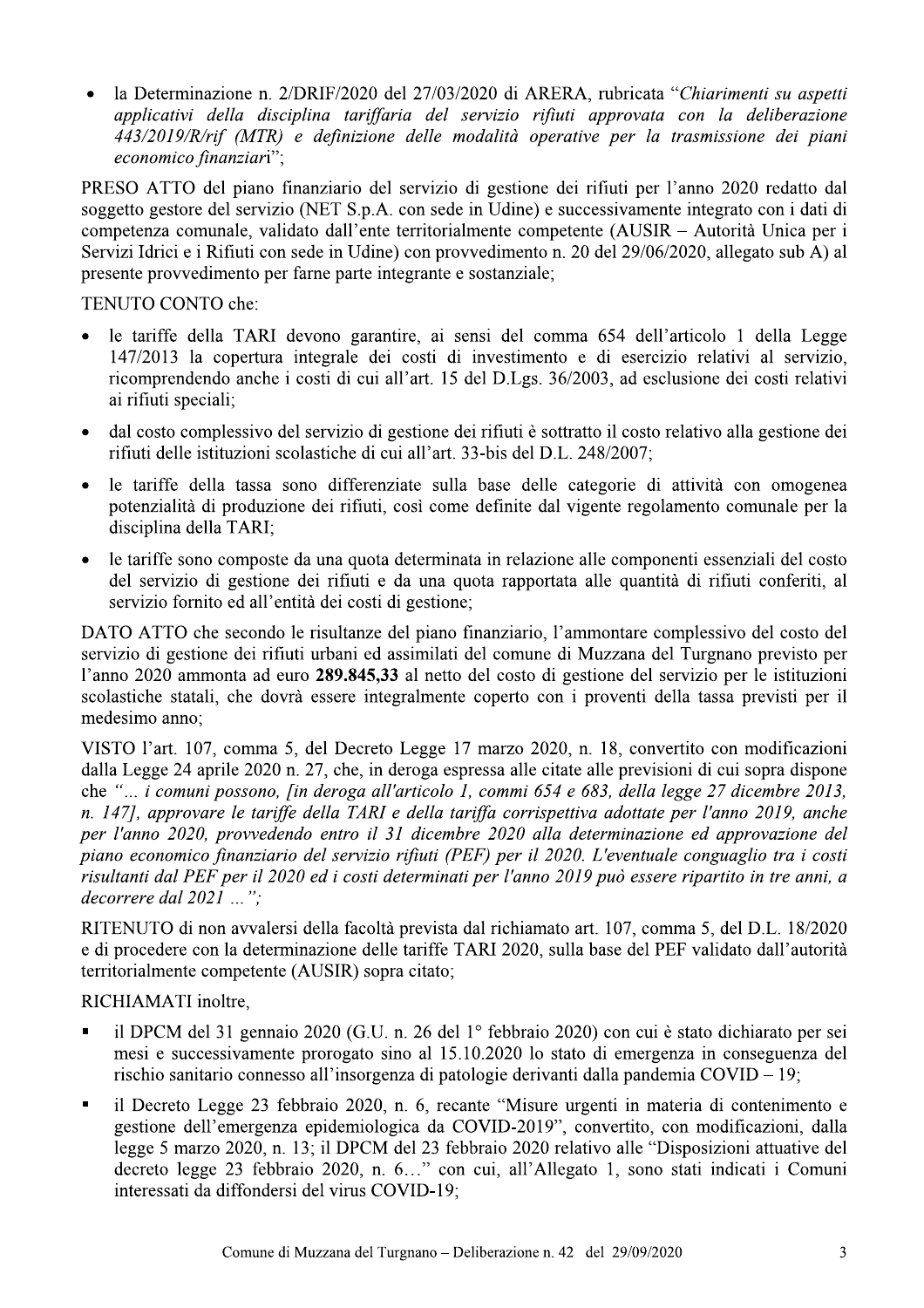la Determinazione n. 2/DRIF/2020 del 27/03/2020 di ARERA, rubricata "Chiarimenti su aspetti applicativi della disciplina tariffaria del servizio rifiuti approvata con la deliberazione 443/2019/R/rif (MTR) e definizione delle modalità operative per la trasmissione dei piani economico finanziari";

PRESO ATTO del piano finanziario del servizio di gestione dei rifiuti per l'anno 2020 redatto dal soggetto gestore del servizio (NET S.p.A. con sede in Udine) e successivamente integrato con i dati di competenza comunale, validato dall'ente territorialmente competente (AUSIR – Autorità Unica per i Servizi Idrici e i Rifiuti con sede in Udine) con provvedimento n. 20 del 29/06/2020, allegato sub A) al presente provvedimento per farne parte integrante e sostanziale;

TENUTO CONTO che:

- le tariffe della TARI devono garantire, ai sensi del comma 654 dell'articolo 1 della Legge 147/2013 la copertura integrale dei costi di investimento e di esercizio relativi al servizio, ricomprendendo anche i costi di cui all'art. 15 del D.Lgs. 36/2003, ad esclusione dei costi relativi ai rifiuti speciali;
- dal costo complessivo del servizio di gestione dei rifiuti è sottratto il costo relativo alla gestione dei rifiuti delle istituzioni scolastiche di cui all'art. 33-bis del D.L. 248/2007;
- le tariffe della tassa sono differenziate sulla base delle categorie di attività con omogenea potenzialità di produzione dei rifiuti, così come definite dal vigente regolamento comunale per la disciplina della TARI;
- le tariffe sono composte da una quota determinata in relazione alle componenti essenziali del costo del servizio di gestione dei rifiuti e da una quota rapportata alle quantità di rifiuti conferiti, al servizio fornito ed all'entità dei costi di gestione;

DATO ATTO che secondo le risultanze del piano finanziario, l'ammontare complessivo del costo del servizio di gestione dei rifiuti urbani ed assimilati del comune di Muzzana del Turgnano previsto per l'anno 2020 ammonta ad euro 289.845,33 al netto del costo di gestione del servizio per le istituzioni scolastiche statali, che dovrà essere integralmente coperto con i proventi della tassa previsti per il medesimo anno:

VISTO l'art. 107, comma 5, del Decreto Legge 17 marzo 2020, n. 18, convertito con modificazioni dalla Legge 24 aprile 2020 n. 27, che, in deroga espressa alle citate alle previsioni di cui sopra dispone che "... i comuni possono, fin deroga all'articolo 1, commi 654 e 683, della legge 27 dicembre 2013, n. 147], approvare le tariffe della TARI e della tariffa corrispettiva adottate per l'anno 2019, anche per l'anno 2020, provvedendo entro il 31 dicembre 2020 alla determinazione ed approvazione del piano economico finanziario del servizio rifiuti (PEF) per il 2020. L'eventuale conguaglio tra i costi risultanti dal PEF per il 2020 ed i costi determinati per l'anno 2019 può essere ripartito in tre anni, a decorrere dal  $2021...$ ";

RITENUTO di non avvalersi della facoltà prevista dal richiamato art. 107, comma 5, del D.L. 18/2020 e di procedere con la determinazione delle tariffe TARI 2020, sulla base del PEF validato dall'autorità territorialmente competente (AUSIR) sopra citato;

RICHIAMATI inoltre,

- il DPCM del 31 gennaio 2020 (G.U. n. 26 del 1º febbraio 2020) con cui è stato dichiarato per sei mesi e successivamente prorogato sino al 15.10.2020 lo stato di emergenza in conseguenza del rischio sanitario connesso all'insorgenza di patologie derivanti dalla pandemia COVID – 19;
- il Decreto Legge 23 febbraio 2020, n. 6, recante "Misure urgenti in materia di contenimento e gestione dell'emergenza epidemiologica da COVID-2019", convertito, con modificazioni, dalla legge 5 marzo 2020, n. 13; il DPCM del 23 febbraio 2020 relativo alle "Disposizioni attuative del decreto legge 23 febbraio 2020, n. 6..." con cui, all'Allegato 1, sono stati indicati i Comuni interessati da diffondersi del virus COVID-19;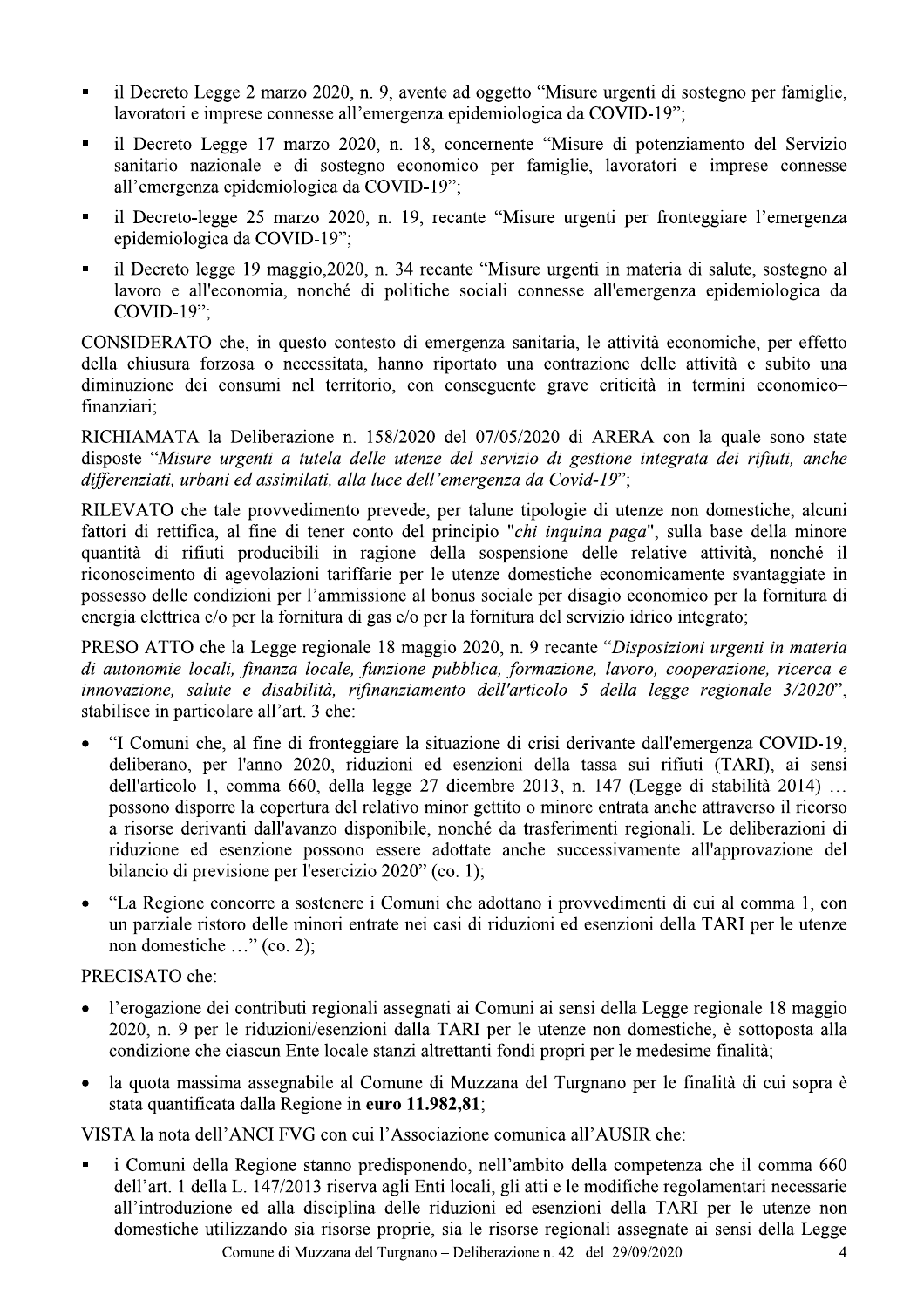- $\blacksquare$  Il Decreto Legge 2 marzo 2020, n. 9, avente ad oggetto "Misure urgenti di sostegno per famiglie, lavoratori e imprese connesse all'emergenza epidemiolog
- 1 Decreto Legge 2 marzo 2020, n. 9, avente ad oggetto "Misure urgenti di sostegno per familavoratori e imprese connesse all'emergenza epidemiologica da COVID-19";<br>
1 Decreto Legge 17 marzo 2020, n. 18, concernente "Misure Legge  $1/$  marzo  $2020$ , n. 18, concernente "Misure di potenziamento del Servizio" sanitario nazionale e di sostegno economico per famiglie, lavoratori e imprese connesse all'emergenza epidemiolog
- -legge 25 marzo 2020, n. 19, recante "Misure urgenti per fronteggiare l'emergenza epidemiolog
- il Decreto Legge 2 marzo 2020, n. 9, avente ad oggetto "Misur<br>
lavoratori e imprese connesse all'emergenza epidemiologica da<br>
 il Decreto Legge 17 marzo 2020, n. 18, concernente "Misu<br>
sanitario nazionale e di sostegno legge 19 maggio, 2020, n. 34 recante "Misure urgenti in materia di salute, sostegno al lavoro e all'economia, nonche di politiche sociali connesse all'emergenza epidemiolog

il Decreto Legge 2 marzo 2020, n. 9, avente ad clavoratori e imprese connesse all'emergenza epid<br>
il Decreto Legge 17 marzo 2020, n. 18, conc<br>
sanitario nazionale e di sostegno economico<br>
all'emergenza epidemiologica da CO i Decreto Legge 17 marzo 2020, n. 18, concernente "Misure di potenziamento del Servizio<br>
sanitario nazionale e di sostegno economico per famiglie, lavoratori e imprese connesse<br>
all'emergenza epidemiologica da COVID-19";<br> contesto di emergenza sanitaria, le attività economiche, per effetto della chiusura forzosa o necessitata, hanno riportato una contrazione delle attività e subito una diminuzione dei consumi nel territorio, con conseguente grave criticità in termini economicofinanziari:

 $\frac{1}{2}$  ione n. 158/2020 del 0//05/2020 di ARERA con la quale sono state disposte "Misure urgenti a tutela delle utenze del servizio di gestione integrata dei rifiuti, anche

il Decreto legge 19 maggi<br>
lavoro e all'economia, no<br>
COVID-19";<br>
CONSIDERATO che, in ques<br>
della chiusura forzosa o neco<br>
diminuzione dei consumi nel<br>
finanziari;<br>
RICHIAMATA la Deliberazio<br>
disposte "*Misure urgenti a tu* CONSIDERATO che, in questo contesto di emergenza sanitaria, le attivit<br>della chiusura forzosa o necessitata, hanno riportato una contrazione d<br>diminuzione dei consumi nel territorio, con conseguente grave criticit<br>finanzi vvedimento prevede, per talune tipologie di utenze non domestiche, alcuni fattori di rettifica, al fine di tener conto del principio "*chi inquina paga*", sulla base della minore quantità di rifiuti producibili in ragione della sospensione delle relative attività, nonche il riconoscimento di agevolazioni tariffarie per le utenze domestiche economicamente svantaggiate in possesso delle condizioni per l'ammissione al bonus sociale per disagio economico per la fornitura di energia elettrica e/o per la fornitura di gas e/o per la fornitura del servizio idrico integrato;

PRESO ATTO che la Legge regionale 18 maggio 2020, n. 9 recante "*Disposizioni urgenti in materia* di autonomie locali, finanza locale, funzione pubblica, formazione, lavoro, cooperazione, ricerca e innovazione, salute e disabilità, rifinanziamento dell'articolo 5 della legge regionale 3/2020", stabilisce in particolare all'art. 3 che:

- riconoscimento di agevolazioni tariffar<br>possesso delle condizioni per l'ammissi<br>energia elettrica e/o per la fornitura di ga<br>PRESO ATTO che la Legge regionale<br>*di autonomie locali, finanza locale, fu<br>innovazione, salute e* muni che, al fine di fronteggiare la situazione di crisi derivante dall'emergenza moscimento di agevolazioni tariffarie per le utenze domestiche economicamente svantaggiate in<br>esseso delle condizioni per l'ammissione al bonus sociale per disagio economico per la fornitura di<br>esseso delle condizione l'a , per l'anno 2020, riduzioni ed esenzion sesso delle condizioni per l'ammissione al bonus sociale per disagio economico per la fornitura di<br>
79 delle condizione delle mortitura di gas e/o per la fornitura del servizio idrico integrato;<br>
7.500 ATTO che la Legge re lo 1, comma 660, della legge 27 dicembre 2013, n. 147 (Legge di stabilità 2014) ... possono disporre la copertura del relativo minor gettito o minore entrata anche attraverso il ricorso a risorse derivanti dall'avanzo disponibile, nonche da trasferimenti regionali. Le deliberazioni di riduzione ed esenzione possono essere adottate anche successivamente all'approvazione del bilancio di previsione per l'esercizio  $2020^{\circ}$  (co. 1); Ila tassa sui rifiuti (TARI), ai sensi<br>3, n. 147 (Legge di stabilità 2014) ...<br>3, n. 147 (Legge di stabilità 2014) ...<br>inore entrata anche attraverso il ricorso<br>ferimenti regionali. Le deliberazioni di<br>successivamente all' possono disporre la copertura<br>a risorse derivanti dall'avanzo<br>riduzione ed esenzione poss<br>bilancio di previsione per l'ese<br><br>• "La Regione concorre a soste<br>un parziale ristoro delle mino<br>non domestiche ..." (co. 2);<br>PRECISA
	- La Regione concorre a sostenere i Comuni che adottano i provvedimenti di cui al comma 1, con un parziale ristoro delle minori entrate nei casi di riduzioni ed esenzioni della TARI per le utenze non domestiche ..." (co.

- gazione dei contributi regionali assegnati ai Comuni ai sensi della Legge regionale 18 maggio 2020, n. 9 per le riduzioni/esenzioni dalla TARI per le utenze non domestiche, e sottoposta alla condizione che ciascun Ente locale stanzi altrettanti fondi propri per le medesime finalita;
- la quota massima assegnabile al Comune di Muzzana del Turgnano per le finalità di cui sopra è stata quantificata dalla Regione in **euro 11.982,81**;

n cui l'Associazione con

Comune di Muzzana del Turgnano – Deliberazione n. 42 del  $29/09/2020$  4 r l'esercizio 2020" (co. 1);<br>
sostenere i Comuni che adottano i provvediment<br>
minori entrate nei casi di riduzioni ed esenzioni<br>
2);<br>
uti regionali assegnati ai Comuni ai sensi della Le<br>
oni/esenzioni dalla TARI per le ute PRECISATO che:<br>
• l'erogazione dei contril<br>
2020, n. 9 per le riduz<br>
condizione che ciascun<br>
• la quota massima asse<br>
stata quantificata dalla<br>
VISTA la nota dell'ANCI<br>
• i Comuni della Regio<br>
dell'art. 1 della L. 147<br>
all PRECISATO che:<br>
• l'erogazione dei contributi regionali assegnati<br>
2020, n. 9 per le riduzioni/esenzioni dalla Tr<br>
condizione che ciascun Ente locale stanzi altre<br>
• la quota massima assegnabile al Comune di l<br>
stata quant PRECISATO che:<br>
• l'erogazione dei contributi regionali assegnati ai Comuni ai sensi della Legge regionale 18 ma<br>
2020, n. 9 per le riduzioni/esenzioni dalla TARI per le utenze non domestiche, è sottoposta<br>
condizione che muni della Regione stanno predisponendo, nell'ambito della competenza che il comma 660 dell'art. I della L. 14//2013 riserva agli Enti locali, gli atti è le modifiche regolamentari necessarie all'introduzione ed alla disciplina delle riduzioni ed esenzioni della TARI per le utenze non The utenze non domestiche, e sottoposta ana<br>
andi propri per le medesime finalità;<br>
an del Turgnano per le finalità di cui sopra è<br>
bomunica all'AUSIR che:<br>
della competenza che il comma 660<br>
gli atti e le modifiche regola domestiche utilizzando sia risorse proprie, sia le risorse regionali assegnate ai sensi della Legge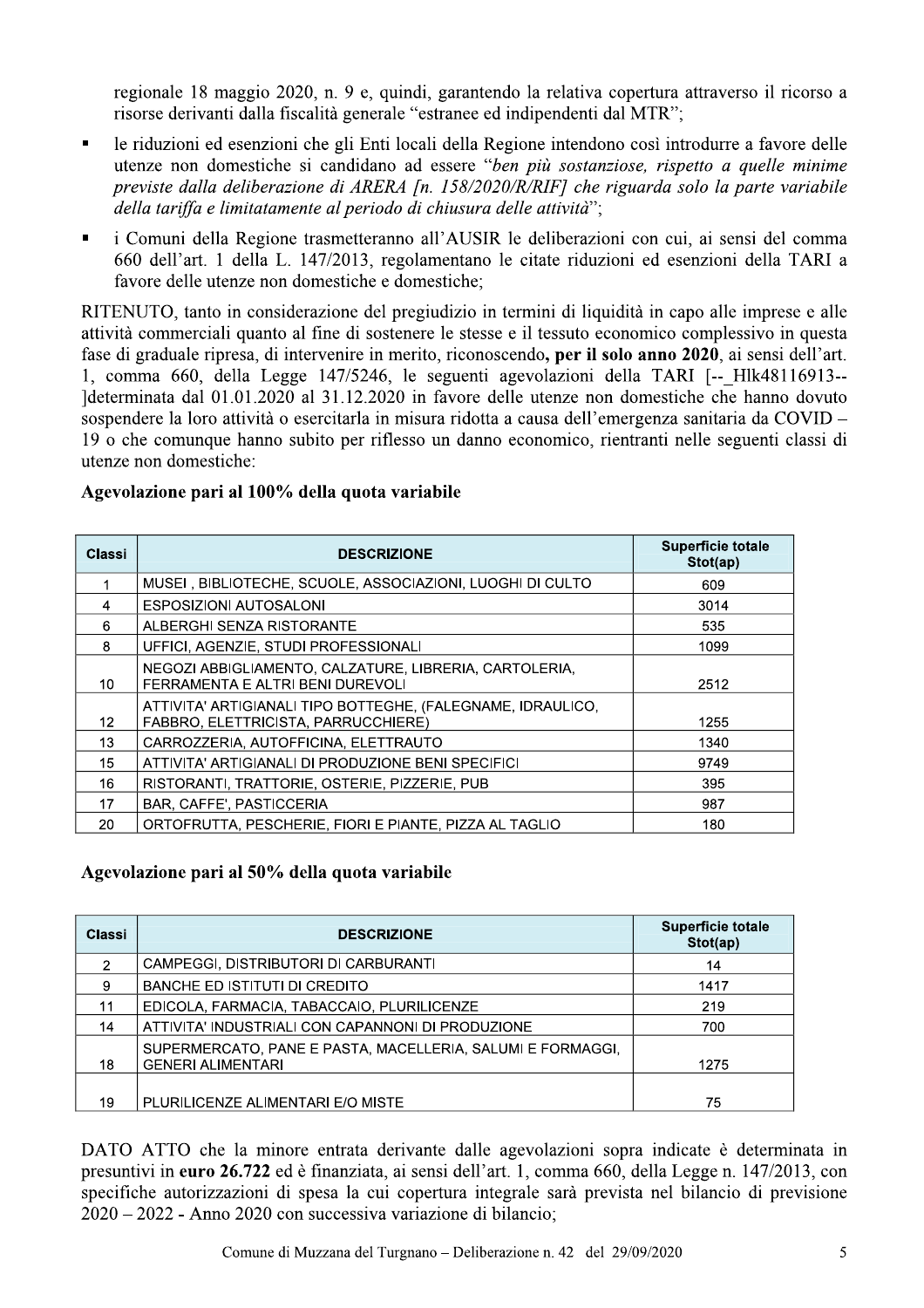regionale 18 maggio 2020, n. 9 e, quindi, garantendo la relativa copertura attraverso il ricorso a risorse derivanti dalla fiscalità generale "estranee ed indipendenti dal MTR";

- le riduzioni ed esenzioni che gli Enti locali della Regione intendono così introdurre a favore delle  $\blacksquare$ utenze non domestiche si candidano ad essere "ben più sostanziose, rispetto a quelle minime previste dalla deliberazione di ARERA [n. 158/2020/R/RIF] che riguarda solo la parte variabile della tariffa e limitatamente al periodo di chiusura delle attività";
- i Comuni della Regione trasmetteranno all'AUSIR le deliberazioni con cui, ai sensi del comma 660 dell'art. 1 della L. 147/2013, regolamentano le citate riduzioni ed esenzioni della TARI a favore delle utenze non domestiche e domestiche:

RITENUTO, tanto in considerazione del pregiudizio in termini di liquidità in capo alle imprese e alle attività commerciali quanto al fine di sostenere le stesse e il tessuto economico complessivo in questa fase di graduale ripresa, di intervenire in merito, riconoscendo, per il solo anno 2020, ai sensi dell'art. 1, comma 660, della Legge 147/5246, le seguenti agevolazioni della TARI [-- Hlk48116913--]determinata dal 01.01.2020 al 31.12.2020 in favore delle utenze non domestiche che hanno dovuto sospendere la loro attività o esercitarla in misura ridotta a causa dell'emergenza sanitaria da COVID – 19 o che comunque hanno subito per riflesso un danno economico, rientranti nelle seguenti classi di utenze non domestiche:

|  | Agevolazione pari al 100% della quota variabile |  |  |  |  |  |
|--|-------------------------------------------------|--|--|--|--|--|
|--|-------------------------------------------------|--|--|--|--|--|

| Classi          | <b>DESCRIZIONE</b>                                                                                 | <b>Superficie totale</b><br>Stot(ap) |
|-----------------|----------------------------------------------------------------------------------------------------|--------------------------------------|
|                 | MUSEI, BIBLIOTECHE, SCUOLE, ASSOCIAZIONI, LUOGHI DI CULTO                                          | 609                                  |
| 4               | <b>ESPOSIZIONI AUTOSALONI</b>                                                                      | 3014                                 |
| 6               | ALBERGHI SENZA RISTORANTE                                                                          | 535                                  |
| 8               | UFFICI, AGENZIE, STUDI PROFESSIONALI                                                               | 1099                                 |
| 10              | NEGOZI ABBIGLIAMENTO, CALZATURE, LIBRERIA, CARTOLERIA,<br>FERRAMENTA E ALTRI BENI DUREVOLI         | 2512                                 |
| 12 <sup>2</sup> | ATTIVITA' ARTIGIANALI TIPO BOTTEGHE, (FALEGNAME, IDRAULICO,<br>FABBRO, ELETTRICISTA, PARRUCCHIERE) | 1255                                 |
| 13              | CARROZZERIA, AUTOFFICINA, ELETTRAUTO                                                               | 1340                                 |
| 15              | ATTIVITA' ARTIGIANALI DI PRODUZIONE BENI SPECIFICI                                                 | 9749                                 |
| 16              | RISTORANTI, TRATTORIE, OSTERIE, PIZZERIE, PUB                                                      | 395                                  |
| 17              | BAR, CAFFE', PASTICCERIA                                                                           | 987                                  |
| 20              | ORTOFRUTTA, PESCHERIE, FIORI E PIANTE, PIZZA AL TAGLIO                                             | 180                                  |

#### Agevolazione pari al 50% della quota variabile

| Classi        | <b>DESCRIZIONE</b>                                                                     | Superficie totale<br>Stot(ap) |
|---------------|----------------------------------------------------------------------------------------|-------------------------------|
| $\mathcal{P}$ | CAMPEGGI, DISTRIBUTORI DI CARBURANTI                                                   | 14                            |
| 9             | <b>BANCHE ED ISTITUTI DI CREDITO</b>                                                   | 1417                          |
| 11            | EDICOLA, FARMACIA, TABACCAIO, PLURILICENZE                                             | 219                           |
| 14            | ATTIVITA' INDUSTRIALI CON CAPANNONI DI PRODUZIONE                                      | 700                           |
| 18            | SUPERMERCATO, PANE E PASTA, MACELLERIA, SALUMI E FORMAGGI,<br><b>GENERI ALIMENTARI</b> | 1275                          |
|               |                                                                                        |                               |
| 19            | PLURILICENZE ALIMENTARI E/O MISTE                                                      | 75                            |

DATO ATTO che la minore entrata derivante dalle agevolazioni sopra indicate è determinata in presuntivi in euro 26.722 ed è finanziata, ai sensi dell'art. 1, comma 660, della Legge n. 147/2013, con specifiche autorizzazioni di spesa la cui copertura integrale sarà prevista nel bilancio di previsione 2020 – 2022 - Anno 2020 con successiva variazione di bilancio;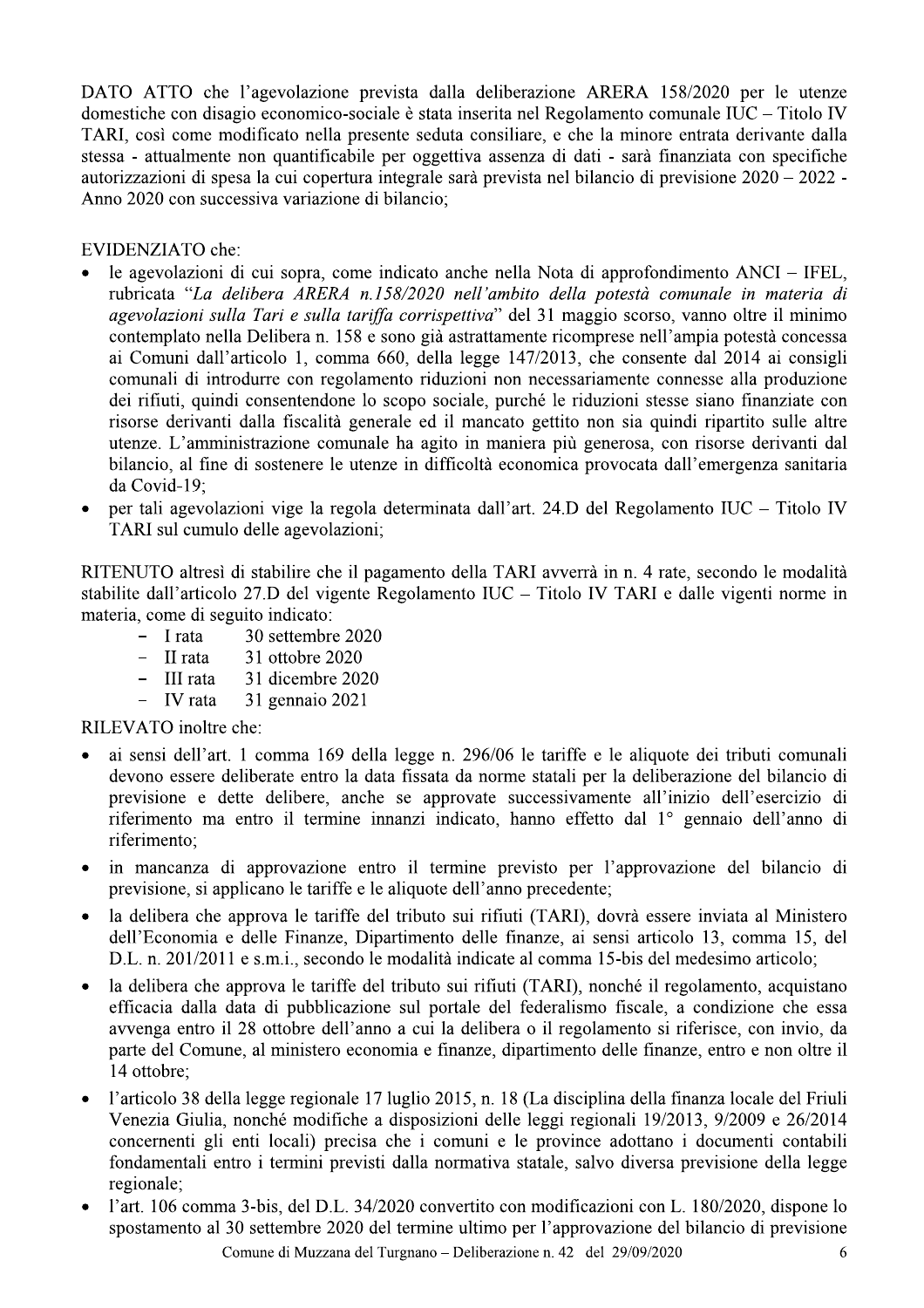DATO ATTO che l'agevolazione prevista dalla deliberazione ARERA 158/2020 per le utenze domestiche con disagio economico-sociale è stata inserita nel Regolamento comunale IUC – Titolo IV TARI, così come modificato nella presente seduta consiliare, e che la minore entrata derivante dalla stessa - attualmente non quantificabile per oggettiva assenza di dati - sarà finanziata con specifiche autorizzazioni di spesa la cui copertura integrale sarà prevista nel bilancio di previsione 2020 – 2022 -Anno 2020 con successiva variazione di bilancio:

#### **EVIDENZIATO** che:

- le agevolazioni di cui sopra, come indicato anche nella Nota di approfondimento ANCI IFEL, rubricata "La delibera ARERA n.158/2020 nell'ambito della potestà comunale in materia di agevolazioni sulla Tari e sulla tariffa corrispettiva" del 31 maggio scorso, vanno oltre il minimo contemplato nella Delibera n. 158 e sono già astrattamente ricomprese nell'ampia potestà concessa ai Comuni dall'articolo 1, comma 660, della legge 147/2013, che consente dal 2014 ai consigli comunali di introdurre con regolamento riduzioni non necessariamente connesse alla produzione dei rifiuti, quindi consentendone lo scopo sociale, purché le riduzioni stesse siano finanziate con risorse derivanti dalla fiscalità generale ed il mancato gettito non sia quindi ripartito sulle altre utenze. L'amministrazione comunale ha agito in maniera più generosa, con risorse derivanti dal bilancio, al fine di sostenere le utenze in difficoltà economica provocata dall'emergenza sanitaria da Covid-19:
- per tali agevolazioni vige la regola determinata dall'art. 24.D del Regolamento IUC Titolo IV TARI sul cumulo delle agevolazioni;

RITENUTO altresì di stabilire che il pagamento della TARI avverrà in n. 4 rate, secondo le modalità stabilite dall'articolo 27.D del vigente Regolamento IUC – Titolo IV TARI e dalle vigenti norme in materia, come di seguito indicato:

- $-$  I rata 30 settembre 2020
- $-$  II rata 31 ottobre 2020
- 31 dicembre 2020  $-$  III rata
- IV rata 31 gennaio 2021

RILEVATO inoltre che:

- ai sensi dell'art. 1 comma 169 della legge n. 296/06 le tariffe e le aliquote dei tributi comunali devono essere deliberate entro la data fissata da norme statali per la deliberazione del bilancio di previsione e dette delibere, anche se approvate successivamente all'inizio dell'esercizio di riferimento ma entro il termine innanzi indicato, hanno effetto dal 1º gennaio dell'anno di riferimento;
- in mancanza di approvazione entro il termine previsto per l'approvazione del bilancio di previsione, si applicano le tariffe e le aliquote dell'anno precedente;
- la delibera che approva le tariffe del tributo sui rifiuti (TARI), dovrà essere inviata al Ministero dell'Economia e delle Finanze, Dipartimento delle finanze, ai sensi articolo 13, comma 15, del D.L. n. 201/2011 e s.m.i., secondo le modalità indicate al comma 15-bis del medesimo articolo;
- la delibera che approva le tariffe del tributo sui rifiuti (TARI), nonché il regolamento, acquistano efficacia dalla data di pubblicazione sul portale del federalismo fiscale, a condizione che essa avvenga entro il 28 ottobre dell'anno a cui la delibera o il regolamento si riferisce, con invio, da parte del Comune, al ministero economia e finanze, dipartimento delle finanze, entro e non oltre il 14 ottobre;
- l'articolo 38 della legge regionale 17 luglio 2015, n. 18 (La disciplina della finanza locale del Friuli Venezia Giulia, nonché modifiche a disposizioni delle leggi regionali 19/2013, 9/2009 e 26/2014 concernenti gli enti locali) precisa che i comuni e le province adottano i documenti contabili fondamentali entro i termini previsti dalla normativa statale, salvo diversa previsione della legge regionale:
- l'art. 106 comma 3-bis, del D.L. 34/2020 convertito con modificazioni con L. 180/2020, dispone lo  $\bullet$ spostamento al 30 settembre 2020 del termine ultimo per l'approvazione del bilancio di previsione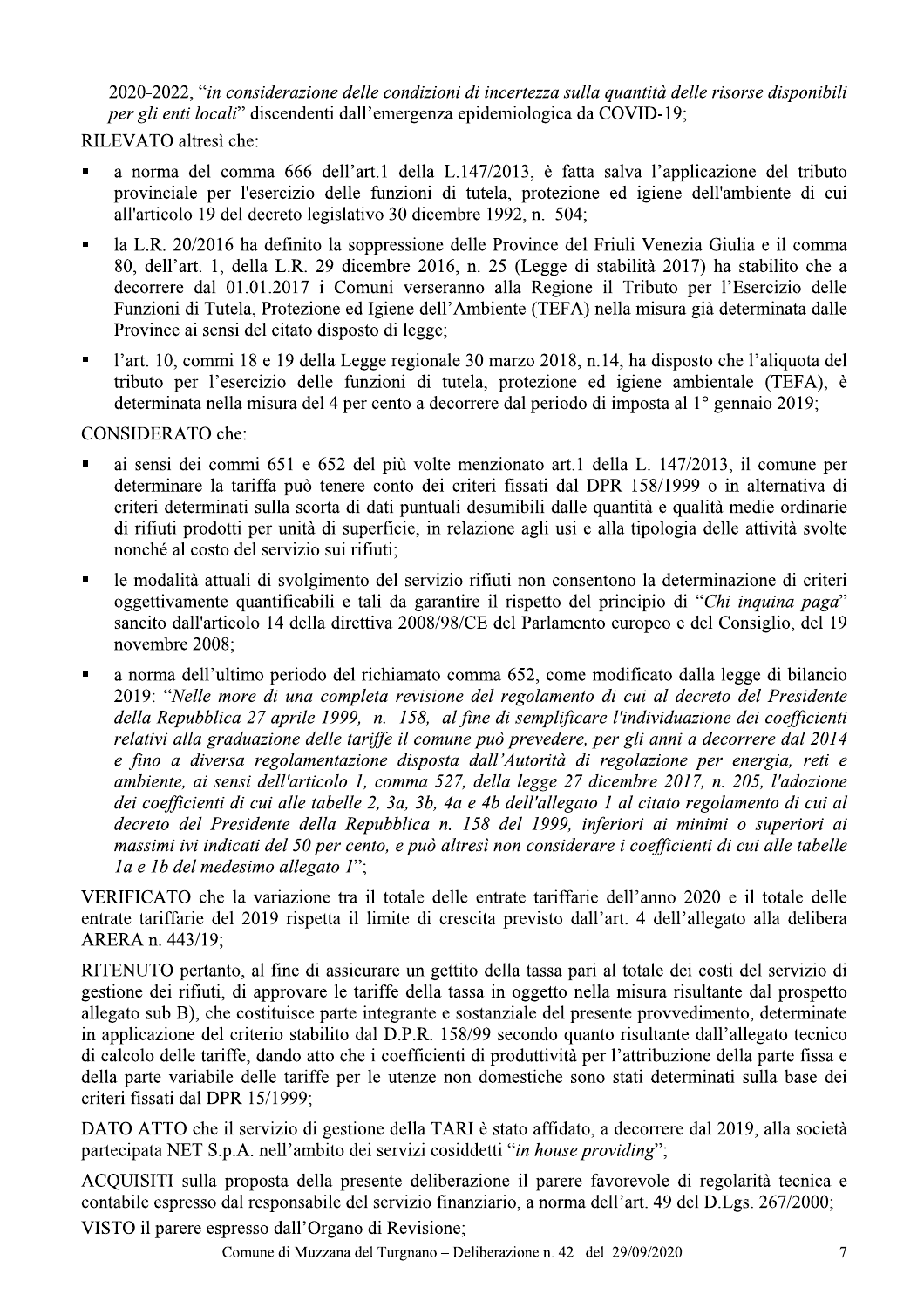2020-2022, "in considerazione delle condizioni di incertezza sulla quantità delle risorse disponibili per gli enti locali" discendenti dall'emergenza epidemiologica da COVID-19;

RILEVATO altresì che:

- a norma del comma 666 dell'art.1 della L.147/2013, è fatta salva l'applicazione del tributo provinciale per l'esercizio delle funzioni di tutela, protezione ed igiene dell'ambiente di cui all'articolo 19 del decreto legislativo 30 dicembre 1992, n. 504;
- la L.R. 20/2016 ha definito la soppressione delle Province del Friuli Venezia Giulia e il comma 80. dell'art. 1, della L.R. 29 dicembre 2016, n. 25 (Legge di stabilità 2017) ha stabilito che a decorrere dal 01.01.2017 i Comuni verseranno alla Regione il Tributo per l'Esercizio delle Funzioni di Tutela, Protezione ed Igiene dell'Ambiente (TEFA) nella misura già determinata dalle Province ai sensi del citato disposto di legge;
- l'art. 10, commi 18 e 19 della Legge regionale 30 marzo 2018, n.14, ha disposto che l'aliquota del tributo per l'esercizio delle funzioni di tutela, protezione ed igiene ambientale (TEFA), è determinata nella misura del 4 per cento a decorrere dal periodo di imposta al 1º gennaio 2019;

CONSIDERATO che:

- ai sensi dei commi 651 e 652 del più volte menzionato art.1 della L. 147/2013, il comune per determinare la tariffa può tenere conto dei criteri fissati dal DPR 158/1999 o in alternativa di criteri determinati sulla scorta di dati puntuali desumibili dalle quantità e qualità medie ordinarie di rifiuti prodotti per unità di superficie, in relazione agli usi e alla tipologia delle attività svolte nonché al costo del servizio sui rifiuti;
- le modalità attuali di svolgimento del servizio rifiuti non consentono la determinazione di criteri oggettivamente quantificabili e tali da garantire il rispetto del principio di "Chi inquina paga" sancito dall'articolo 14 della direttiva 2008/98/CE del Parlamento europeo e del Consiglio, del 19 novembre 2008;
- a norma dell'ultimo periodo del richiamato comma 652, come modificato dalla legge di bilancio 2019: "Nelle more di una completa revisione del regolamento di cui al decreto del Presidente della Repubblica 27 aprile 1999, n. 158, al fine di semplificare l'individuazione dei coefficienti relativi alla graduazione delle tariffe il comune può prevedere, per gli anni a decorrere dal 2014 e fino a diversa regolamentazione disposta dall'Autorità di regolazione per energia, reti e ambiente, ai sensi dell'articolo 1, comma 527, della legge 27 dicembre 2017, n. 205, l'adozione dei coefficienti di cui alle tabelle 2, 3a, 3b, 4a e 4b dell'allegato 1 al citato regolamento di cui al decreto del Presidente della Repubblica n. 158 del 1999, inferiori ai minimi o superiori ai massimi ivi indicati del 50 per cento, e può altresì non considerare i coefficienti di cui alle tabelle la e 1b del medesimo allegato l":

VERIFICATO che la variazione tra il totale delle entrate tariffarie dell'anno 2020 e il totale delle entrate tariffarie del 2019 rispetta il limite di crescita previsto dall'art. 4 dell'allegato alla delibera ARERA n. 443/19;

RITENUTO pertanto, al fine di assicurare un gettito della tassa pari al totale dei costi del servizio di gestione dei rifiuti, di approvare le tariffe della tassa in oggetto nella misura risultante dal prospetto allegato sub B), che costituisce parte integrante e sostanziale del presente provvedimento, determinate in applicazione del criterio stabilito dal D.P.R. 158/99 secondo quanto risultante dall'allegato tecnico di calcolo delle tariffe, dando atto che i coefficienti di produttività per l'attribuzione della parte fissa e della parte variabile delle tariffe per le utenze non domestiche sono stati determinati sulla base dei criteri fissati dal DPR 15/1999;

DATO ATTO che il servizio di gestione della TARI è stato affidato, a decorrere dal 2019, alla società partecipata NET S.p.A. nell'ambito dei servizi cosiddetti "in house providing";

ACQUISITI sulla proposta della presente deliberazione il parere favorevole di regolarità tecnica e contabile espresso dal responsabile del servizio finanziario, a norma dell'art. 49 del D.Lgs. 267/2000; VISTO il parere espresso dall'Organo di Revisione;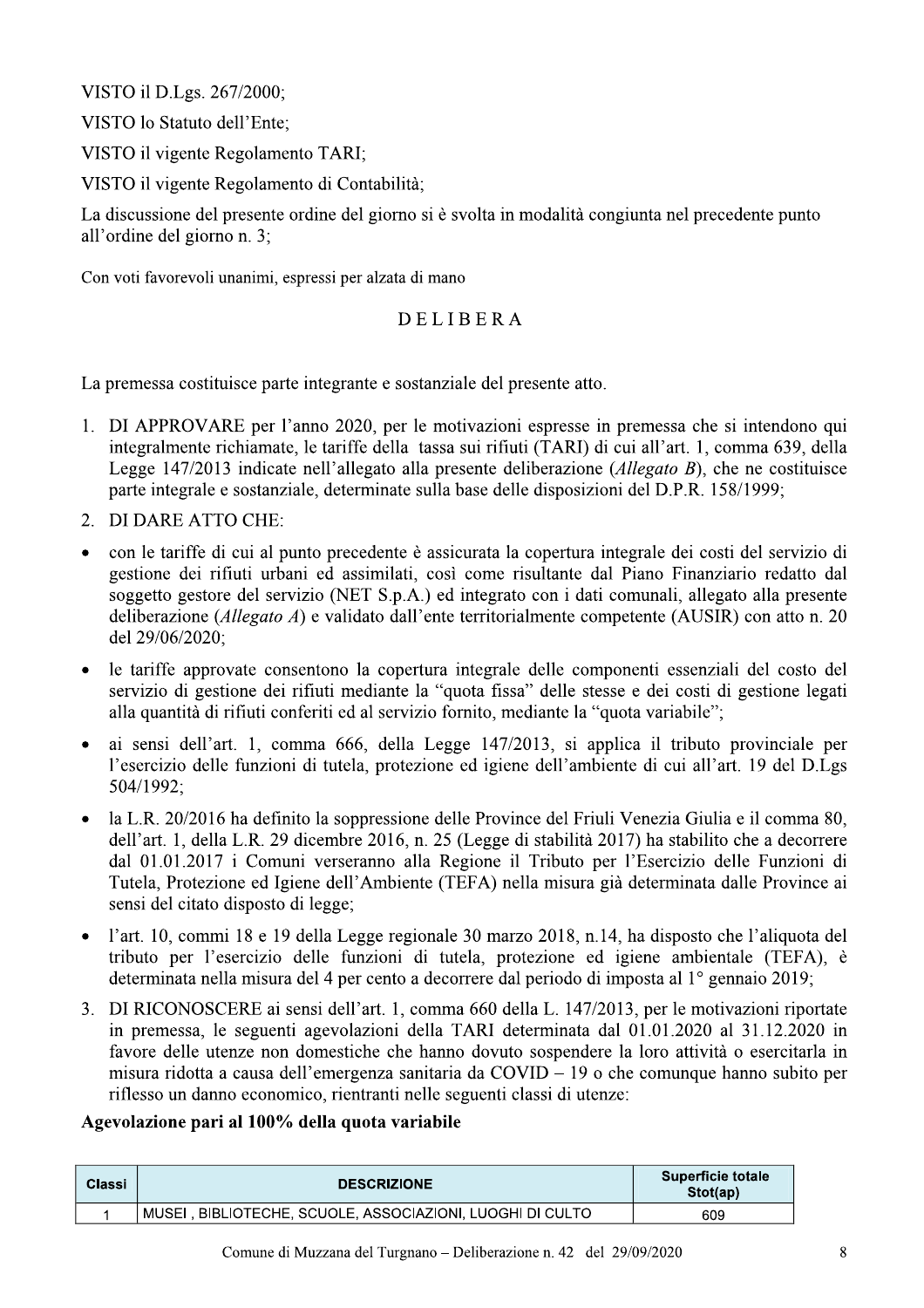VISTO il D.Lgs. 267/2000;

VISTO lo Statuto dell'Ente;

VISTO il vigente Regolamento TARI;

VISTO il vigente Regolamento di Contabilità;

La discussione del presente ordine del giorno si è svolta in modalità congiunta nel precedente punto all'ordine del giorno n. 3;

Con voti favorevoli unanimi, espressi per alzata di mano

#### **DELIBERA**

La premessa costituisce parte integrante e sostanziale del presente atto.

- 1. DI APPROVARE per l'anno 2020, per le motivazioni espresse in premessa che si intendono qui integralmente richiamate, le tariffe della tassa sui rifiuti (TARI) di cui all'art. 1, comma 639, della Legge 147/2013 indicate nell'allegato alla presente deliberazione (Allegato B), che ne costituisce parte integrale e sostanziale, determinate sulla base delle disposizioni del D.P.R. 158/1999;
- 2. DI DARE ATTO CHE:
- con le tariffe di cui al punto precedente è assicurata la copertura integrale dei costi del servizio di gestione dei rifiuti urbani ed assimilati, così come risultante dal Piano Finanziario redatto dal soggetto gestore del servizio (NET S.p.A.) ed integrato con i dati comunali, allegato alla presente deliberazione (*Allegato A*) e validato dall'ente territorialmente competente (AUSIR) con atto n. 20 del 29/06/2020;
- le tariffe approvate consentono la copertura integrale delle componenti essenziali del costo del  $\bullet$ servizio di gestione dei rifiuti mediante la "quota fissa" delle stesse e dei costi di gestione legati alla quantità di rifiuti conferiti ed al servizio fornito, mediante la "quota variabile";
- ai sensi dell'art. 1, comma 666, della Legge 147/2013, si applica il tributo provinciale per  $\bullet$ l'esercizio delle funzioni di tutela, protezione ed igiene dell'ambiente di cui all'art. 19 del D.Lgs 504/1992;
- la L.R. 20/2016 ha definito la soppressione delle Province del Friuli Venezia Giulia e il comma 80, dell'art. 1, della L.R. 29 dicembre 2016, n. 25 (Legge di stabilità 2017) ha stabilito che a decorrere dal 01.01.2017 i Comuni verseranno alla Regione il Tributo per l'Esercizio delle Funzioni di Tutela, Protezione ed Igiene dell'Ambiente (TEFA) nella misura già determinata dalle Province ai sensi del citato disposto di legge;
- l'art. 10, commi 18 e 19 della Legge regionale 30 marzo 2018, n.14, ha disposto che l'aliquota del  $\bullet$ tributo per l'esercizio delle funzioni di tutela, protezione ed igiene ambientale (TEFA), è determinata nella misura del 4 per cento a decorrere dal periodo di imposta al 1<sup>°</sup> gennaio 2019;
- 3. DI RICONOSCERE ai sensi dell'art. 1, comma 660 della L. 147/2013, per le motivazioni riportate in premessa, le seguenti agevolazioni della TARI determinata dal 01.01.2020 al 31.12.2020 in favore delle utenze non domestiche che hanno dovuto sospendere la loro attività o esercitarla in misura ridotta a causa dell'emergenza sanitaria da  $COVID - 19$  o che comunque hanno subito per riflesso un danno economico, rientranti nelle seguenti classi di utenze:

#### Agevolazione pari al 100% della quota variabile

| Classi | <b>DESCRIZIONE</b>                                        | <b>Superficie totale</b><br>Stot(ap) |
|--------|-----------------------------------------------------------|--------------------------------------|
|        | MUSEI, BIBLIOTECHE, SCUOLE, ASSOCIAZIONI, LUOGHI DI CULTO | 609                                  |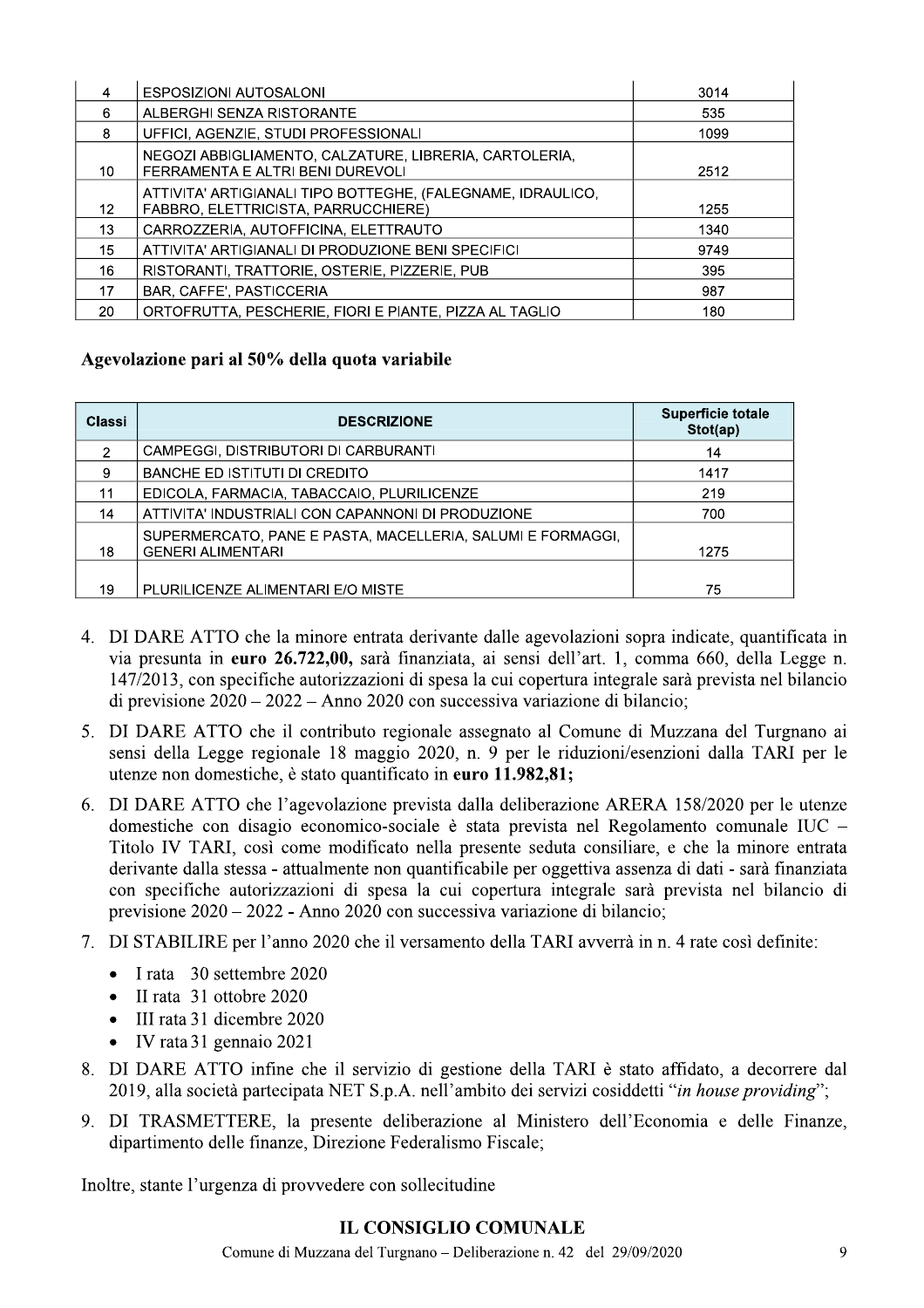| 4  | ESPOSIZIONI AUTOSALONI                                                                     | 3014 |
|----|--------------------------------------------------------------------------------------------|------|
| 6  | ALBERGHI SENZA RISTORANTE                                                                  | 535  |
| 8  | UFFICI, AGENZIE, STUDI PROFESSIONALI                                                       | 1099 |
| 10 | NEGOZI ABBIGLIAMENTO, CALZATURE, LIBRERIA, CARTOLERIA,<br>FERRAMENTA E ALTRI BENI DUREVOLI | 2512 |
|    | ATTIVITA' ARTIGIANALI TIPO BOTTEGHE, (FALEGNAME, IDRAULICO,                                |      |
| 12 | FABBRO, ELETTRICISTA, PARRUCCHIERE)                                                        | 1255 |
| 13 | CARROZZERIA, AUTOFFICINA, ELETTRAUTO                                                       | 1340 |
| 15 | ATTIVITA' ARTIGIANALI DI PRODUZIONE BENI SPECIFICI                                         | 9749 |
| 16 | RISTORANTI, TRATTORIE, OSTERIE, PIZZERIE, PUB                                              | 395  |
| 17 | <b>BAR, CAFFE', PASTICCERIA</b>                                                            | 987  |
| 20 | ORTOFRUTTA, PESCHERIE, FIORI E PIANTE, PIZZA AL TAGLIO                                     | 180  |

#### Agevolazione pari al 50% della quota variabile

| Classi | <b>DESCRIZIONE</b>                                                                     | <b>Superficie totale</b><br>Stot(ap) |
|--------|----------------------------------------------------------------------------------------|--------------------------------------|
| 2      | CAMPEGGI, DISTRIBUTORI DI CARBURANTI                                                   | 14                                   |
| 9      | BANCHE ED ISTITUTI DI CREDITO                                                          | 1417                                 |
| 11     | EDICOLA, FARMACIA, TABACCAIO, PLURILICENZE                                             | 219                                  |
| 14     | ATTIVITA' INDUSTRIALI CON CAPANNONI DI PRODUZIONE                                      | 700                                  |
| 18     | SUPERMERCATO, PANE E PASTA, MACELLERIA, SALUMI E FORMAGGI,<br><b>GENERI ALIMENTARI</b> | 1275                                 |
|        |                                                                                        |                                      |
| 19     | PLURILICENZE ALIMENTARI E/O MISTE                                                      | 75                                   |

- 4. DI DARE ATTO che la minore entrata derivante dalle agevolazioni sopra indicate, quantificata in via presunta in euro 26.722.00, sarà finanziata, ai sensi dell'art. 1, comma 660, della Legge n. 147/2013, con specifiche autorizzazioni di spesa la cui copertura integrale sarà prevista nel bilancio di previsione  $2020 - 2022$  – Anno 2020 con successiva variazione di bilancio;
- 5. DI DARE ATTO che il contributo regionale assegnato al Comune di Muzzana del Turgnano ai sensi della Legge regionale 18 maggio 2020, n. 9 per le riduzioni/esenzioni dalla TARI per le utenze non domestiche, è stato quantificato in euro 11.982,81;
- 6. DI DARE ATTO che l'agevolazione prevista dalla deliberazione ARERA 158/2020 per le utenze domestiche con disagio economico-sociale è stata prevista nel Regolamento comunale IUC – Titolo IV TARI, così come modificato nella presente seduta consiliare, e che la minore entrata derivante dalla stessa - attualmente non quantificabile per oggettiva assenza di dati - sarà finanziata con specifiche autorizzazioni di spesa la cui copertura integrale sarà prevista nel bilancio di previsione  $2020 - 2022$  - Anno 2020 con successiva variazione di bilancio;
- 7. DI STABILIRE per l'anno 2020 che il versamento della TARI avverrà in n. 4 rate così definite:
	- I rata 30 settembre 2020  $\bullet$
	- II rata 31 ottobre 2020
	- III rata 31 dicembre 2020
	- $\bullet$  IV rata 31 gennaio 2021
- 8. DI DARE ATTO infine che il servizio di gestione della TARI è stato affidato, a decorrere dal 2019, alla società partecipata NET S.p.A. nell'ambito dei servizi cosiddetti "in house providing";
- 9. DI TRASMETTERE, la presente deliberazione al Ministero dell'Economia e delle Finanze, dipartimento delle finanze, Direzione Federalismo Fiscale;

Inoltre, stante l'urgenza di provvedere con sollecitudine

#### **IL CONSIGLIO COMUNALE**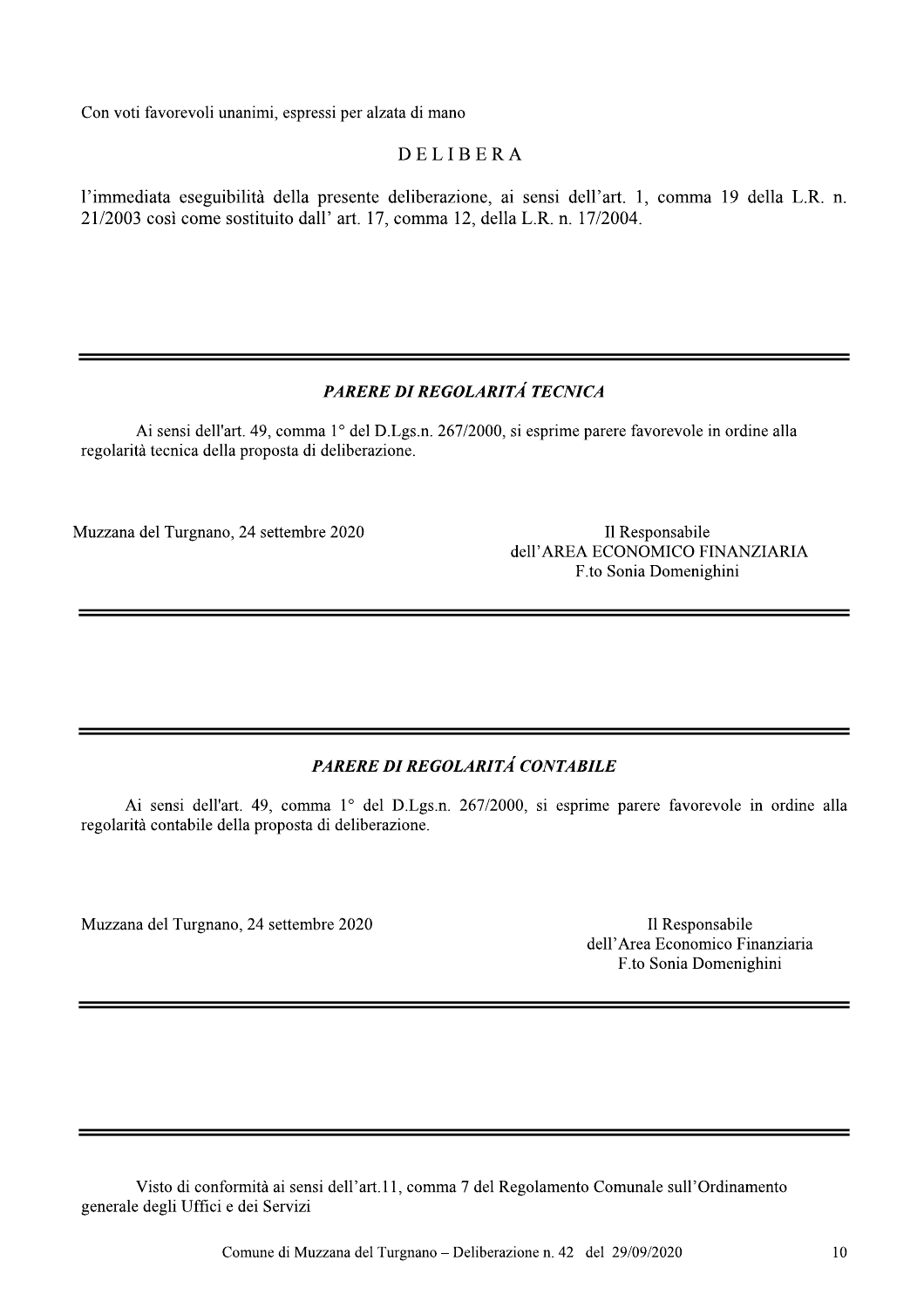Con voti favorevoli unanimi, espressi per alzata di mano

#### **DELIBERA**

l'immediata eseguibilità della presente deliberazione, ai sensi dell'art. 1, comma 19 della L.R. n. 21/2003 così come sostituito dall' art. 17, comma 12, della L.R. n. 17/2004.

#### PARERE DI REGOLARITÁ TECNICA

Ai sensi dell'art. 49, comma 1° del D.Lgs.n. 267/2000, si esprime parere favorevole in ordine alla regolarità tecnica della proposta di deliberazione.

Muzzana del Turgnano, 24 settembre 2020

Il Responsabile dell'AREA ECONOMICO FINANZIARIA F.to Sonia Domenighini

#### PARERE DI REGOLARITÁ CONTABILE

Ai sensi dell'art. 49, comma 1° del D.Lgs.n. 267/2000, si esprime parere favorevole in ordine alla regolarità contabile della proposta di deliberazione.

Muzzana del Turgnano, 24 settembre 2020

Il Responsabile dell'Area Economico Finanziaria F.to Sonia Domenighini

Visto di conformità ai sensi dell'art.11, comma 7 del Regolamento Comunale sull'Ordinamento generale degli Uffici e dei Servizi

Comune di Muzzana del Turgnano – Deliberazione n. 42 del 29/09/2020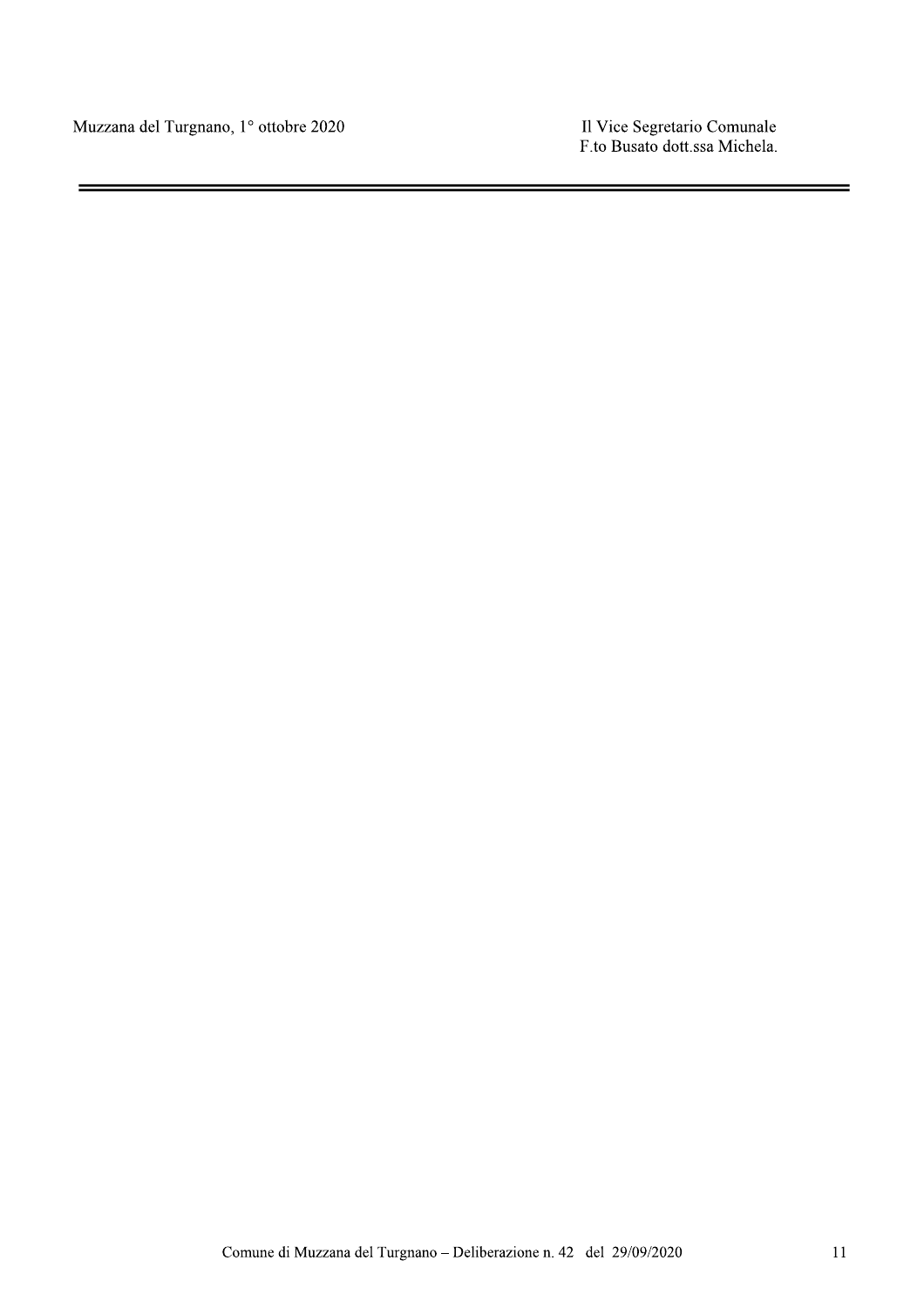Muzzana del Turgnano, 1º ottobre 2020

Il Vice Segretario Comunale<br>F.to Busato dott.ssa Michela.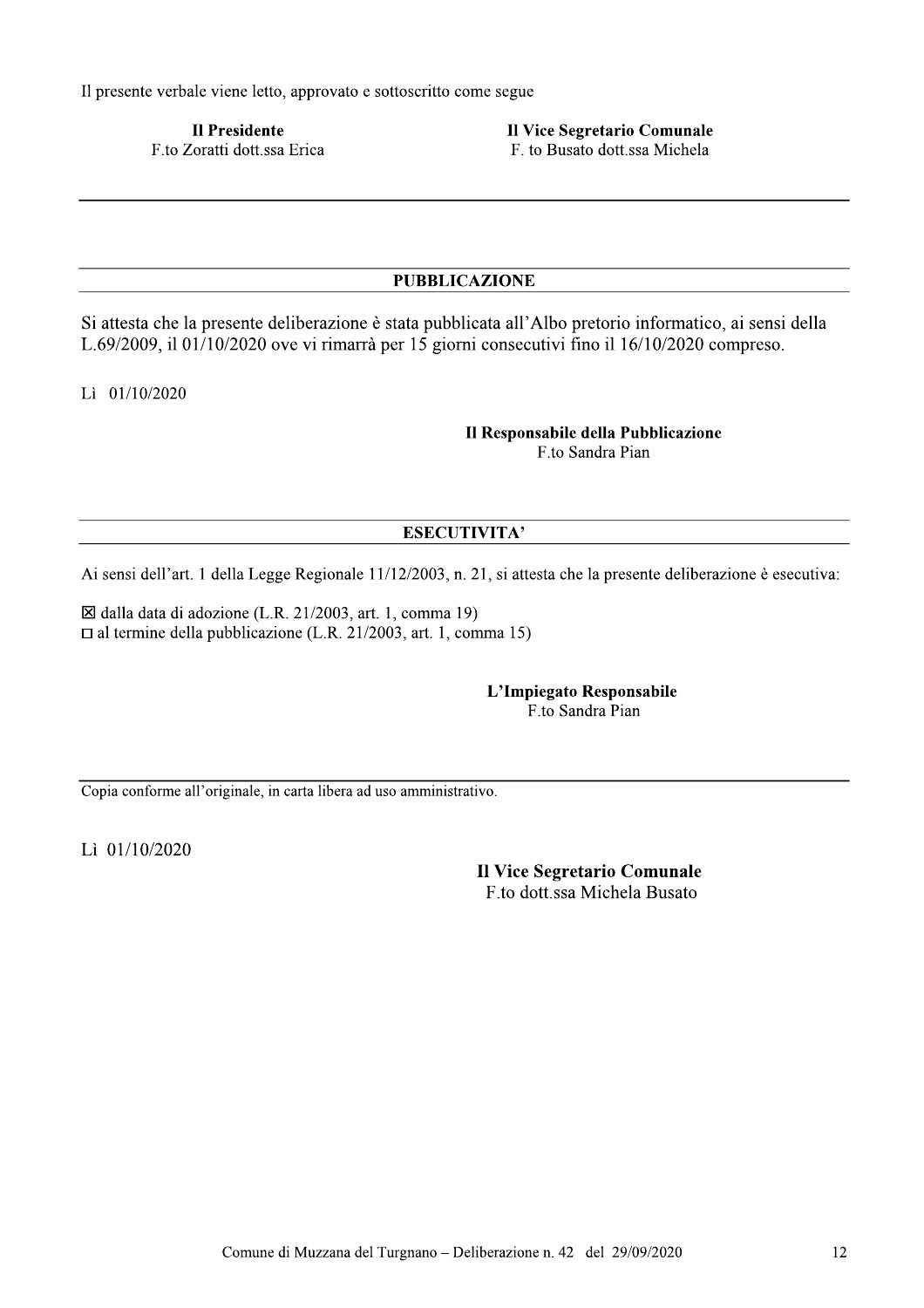Il presente verbale viene letto, approvato e sottoscritto come segue

**Il Presidente** F.to Zoratti dott.ssa Erica Il Vice Segretario Comunale F. to Busato dott.ssa Michela

#### **PUBBLICAZIONE**

Si attesta che la presente deliberazione è stata pubblicata all'Albo pretorio informatico, ai sensi della L.69/2009, il 01/10/2020 ove vi rimarrà per 15 giorni consecutivi fino il 16/10/2020 compreso.

Lì 01/10/2020

Il Responsabile della Pubblicazione F.to Sandra Pian

#### **ESECUTIVITA'**

Ai sensi dell'art. 1 della Legge Regionale 11/12/2003, n. 21, si attesta che la presente deliberazione è esecutiva:

⊠ dalla data di adozione (L.R. 21/2003, art. 1, comma 19)  $\Box$  al termine della pubblicazione (L.R. 21/2003, art. 1, comma 15)

> L'Impiegato Responsabile F.to Sandra Pian

Copia conforme all'originale, in carta libera ad uso amministrativo.

Lì 01/10/2020

Il Vice Segretario Comunale F.to dott.ssa Michela Busato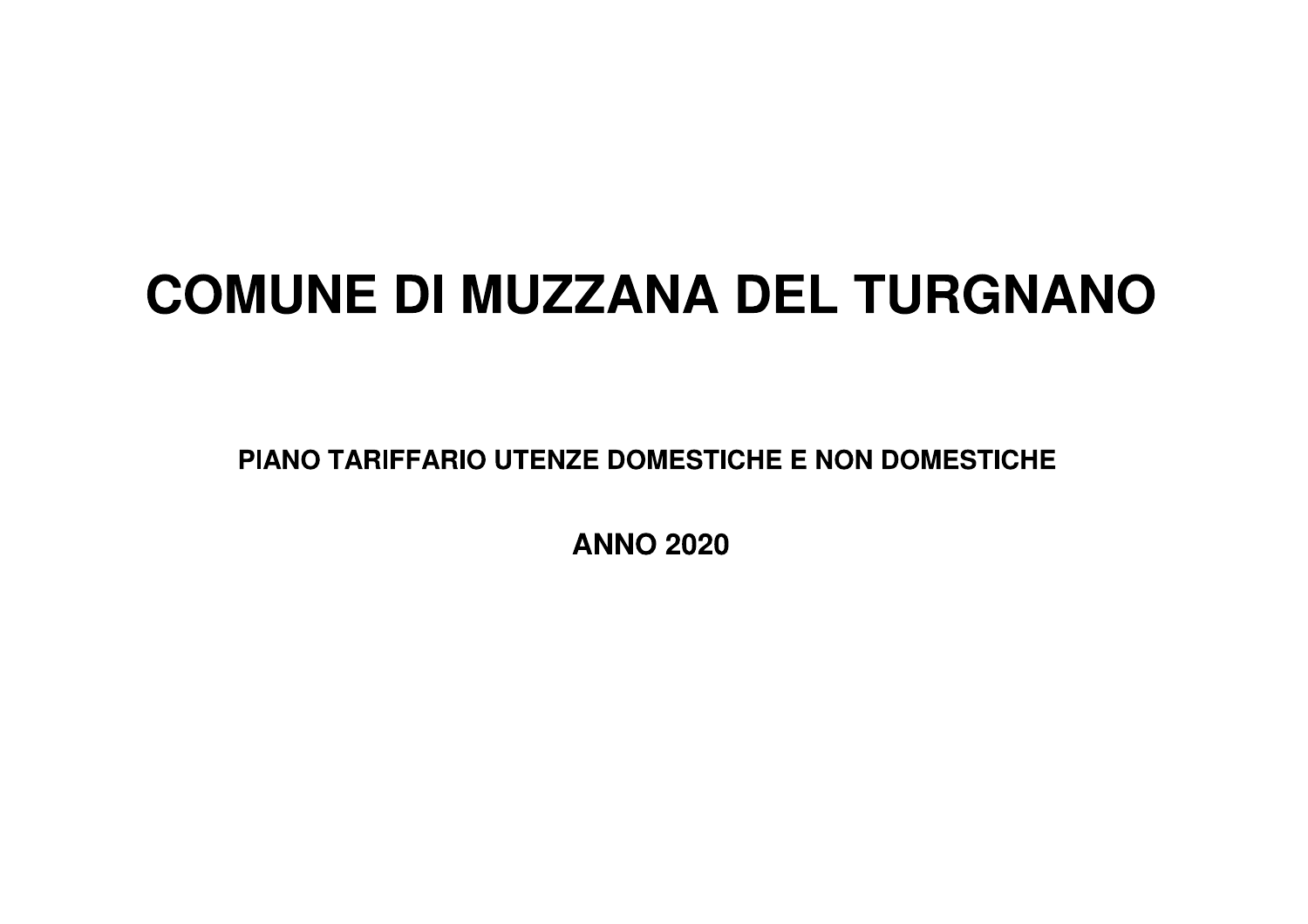# **COMUNE DI MUZZANA DEL TURGNANO**

PIANO TARIFFARIO UTENZE DOMESTICHE E NON DOMESTICHE

**ANNO 2020**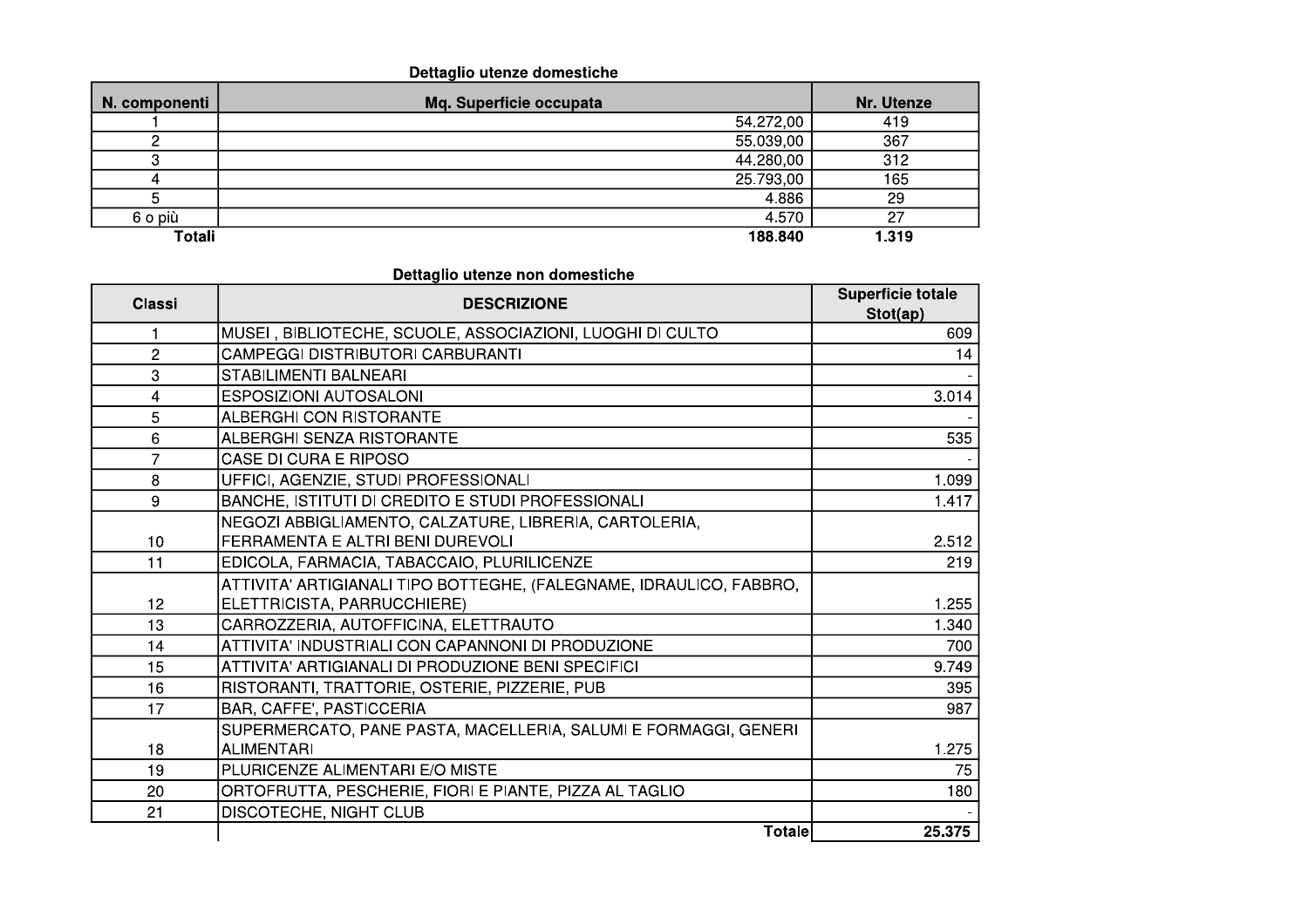#### Dettaglio utenze domestiche

| N. componenti | Mq. Superficie occupata | Nr. Utenze |
|---------------|-------------------------|------------|
|               | 54.272,00               | 419        |
|               | 55.039,00               | 367        |
|               | 44.280,00               | 312        |
|               | 25.793,00               | 165        |
|               | 4.886                   | 29         |
| 6 o più       | 4.570                   | 27         |
| Totali        | 188.840                 | 1.319      |

| <b>Classi</b> | <b>DESCRIZIONE</b>                                                  | Superficie totale<br>Stot(ap) |
|---------------|---------------------------------------------------------------------|-------------------------------|
| 1             | MUSEI, BIBLIOTECHE, SCUOLE, ASSOCIAZIONI, LUOGHI DI CULTO           | 609                           |
| 2             | <b>CAMPEGGI DISTRIBUTORI CARBURANTI</b>                             | 14                            |
| 3             | <b>STABILIMENTI BALNEARI</b>                                        |                               |
| 4             | <b>ESPOSIZIONI AUTOSALONI</b>                                       | 3.014                         |
| 5             | ALBERGHI CON RISTORANTE                                             |                               |
| 6             | <b>ALBERGHI SENZA RISTORANTE</b>                                    | 535                           |
| 7             | <b>CASE DI CURA E RIPOSO</b>                                        |                               |
| 8             | UFFICI, AGENZIE, STUDI PROFESSIONALI                                | 1.099                         |
| 9             | BANCHE, ISTITUTI DI CREDITO E STUDI PROFESSIONALI                   | 1.417                         |
|               | NEGOZI ABBIGLIAMENTO, CALZATURE, LIBRERIA, CARTOLERIA,              |                               |
| 10            | FERRAMENTA E ALTRI BENI DUREVOLI                                    | 2.512                         |
| 11            | EDICOLA, FARMACIA, TABACCAIO, PLURILICENZE                          | 219                           |
|               | ATTIVITA' ARTIGIANALI TIPO BOTTEGHE, (FALEGNAME, IDRAULICO, FABBRO, |                               |
| 12            | ELETTRICISTA, PARRUCCHIERE)                                         | 1.255                         |
| 13            | CARROZZERIA, AUTOFFICINA, ELETTRAUTO                                | 1.340                         |
| 14            | ATTIVITA' INDUSTRIALI CON CAPANNONI DI PRODUZIONE                   | 700                           |
| 15            | ATTIVITA' ARTIGIANALI DI PRODUZIONE BENI SPECIFICI                  | 9.749                         |
| 16            | RISTORANTI, TRATTORIE, OSTERIE, PIZZERIE, PUB                       | 395                           |
| 17            | BAR, CAFFE', PASTICCERIA                                            | 987                           |
|               | SUPERMERCATO, PANE PASTA, MACELLERIA, SALUMI E FORMAGGI, GENERI     |                               |
| 18            | <b>ALIMENTARI</b>                                                   | 1.275                         |
| 19            | PLURICENZE ALIMENTARI E/O MISTE                                     | 75                            |
| 20            | ORTOFRUTTA, PESCHERIE, FIORI E PIANTE, PIZZA AL TAGLIO              | 180                           |
| 21            | DISCOTECHE, NIGHT CLUB                                              |                               |
|               | <b>Totale</b>                                                       | 25.375                        |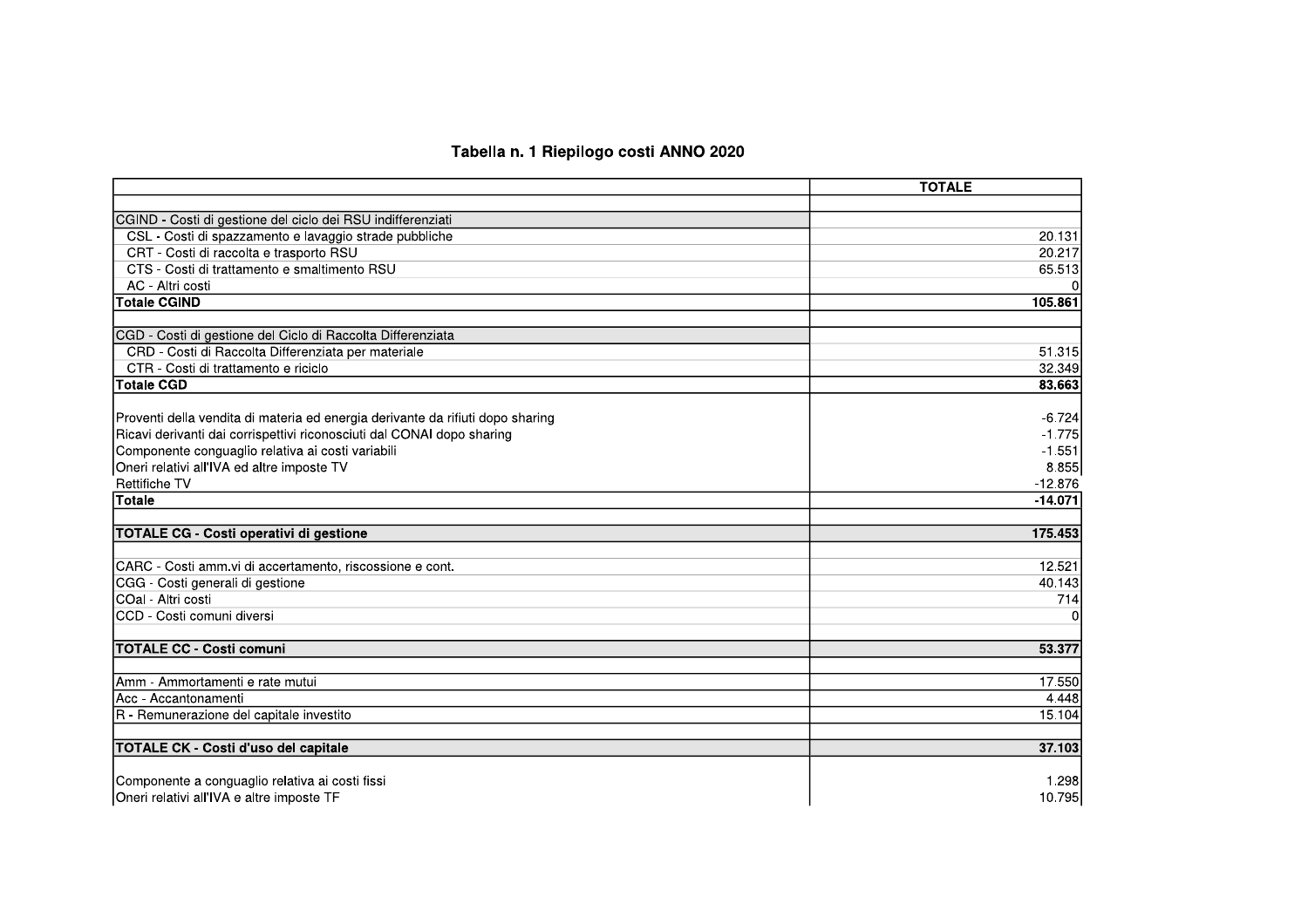#### Tabella n. 1 Riepilogo costi ANNO 2020

|                                                                                | <b>TOTALE</b>  |
|--------------------------------------------------------------------------------|----------------|
|                                                                                |                |
| CGIND - Costi di gestione del ciclo dei RSU indifferenziati                    |                |
| CSL - Costi di spazzamento e lavaggio strade pubbliche                         | 20.131         |
| CRT - Costi di raccolta e trasporto RSU                                        | 20.217         |
| CTS - Costi di trattamento e smaltimento RSU                                   | 65.513         |
| AC - Altri costi                                                               | ΩI             |
| <b>Totale CGIND</b>                                                            | 105.861        |
|                                                                                |                |
| CGD - Costi di gestione del Ciclo di Raccolta Differenziata                    |                |
| CRD - Costi di Raccolta Differenziata per materiale                            | 51.315         |
| CTR - Costi di trattamento e riciclo                                           | 32.349         |
| <b>Totale CGD</b>                                                              | 83.663         |
| Proventi della vendita di materia ed energia derivante da rifiuti dopo sharing | $-6.724$       |
| Ricavi derivanti dai corrispettivi riconosciuti dal CONAI dopo sharing         | $-1.775$       |
| Componente conguaglio relativa ai costi variabili                              | $-1.551$       |
| Oneri relativi all'IVA ed altre imposte TV                                     | 8.855          |
| <b>Rettifiche TV</b>                                                           | $-12.876$      |
| <b>Totale</b>                                                                  | $-14.071$      |
|                                                                                |                |
| TOTALE CG - Costi operativi di gestione                                        | 175.453        |
|                                                                                |                |
| CARC - Costi amm.vi di accertamento, riscossione e cont.                       | 12.521         |
| CGG - Costi generali di gestione                                               | 40.143         |
| COal - Altri costi                                                             | 714            |
| CCD - Costi comuni diversi                                                     | $\overline{0}$ |
| <b>TOTALE CC - Costi comuni</b>                                                | 53.377         |
|                                                                                |                |
| IAmm - Ammortamenti e rate mutui                                               | 17.550         |
| Acc - Accantonamenti                                                           | 4.448          |
| R - Remunerazione del capitale investito                                       | 15.104         |
| <b>TOTALE CK - Costi d'uso del capitale</b>                                    | 37.103         |
| Componente a conguaglio relativa ai costi fissi                                | 1.298          |
| Oneri relativi all'IVA e altre imposte TF                                      | 10.795         |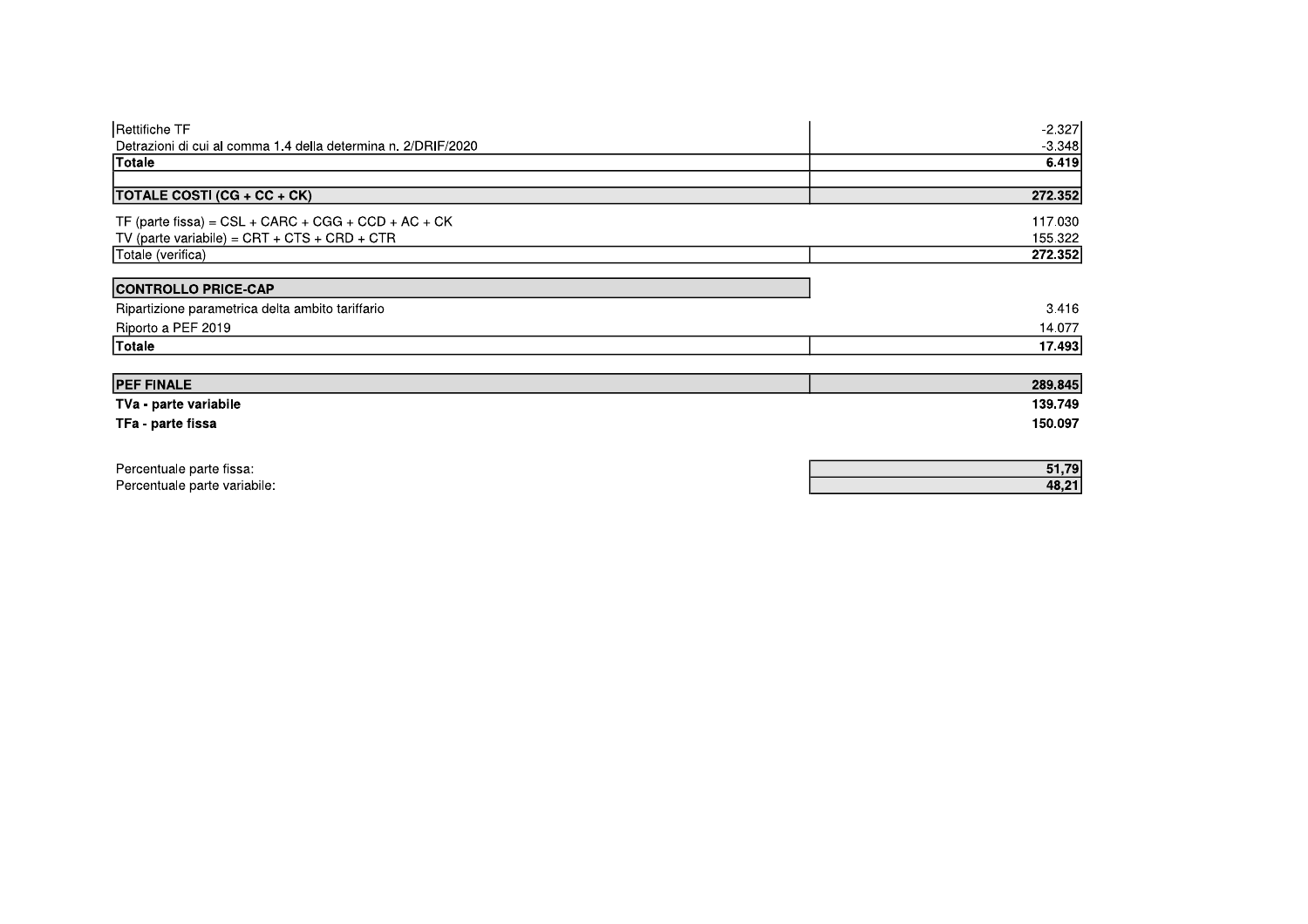| Rettifiche TF                                                 | $-2.327$ |
|---------------------------------------------------------------|----------|
| Detrazioni di cui al comma 1.4 della determina n. 2/DRIF/2020 | $-3.348$ |
| <b>Totale</b>                                                 | 6.419    |
| <b>TOTALE COSTI (CG + CC + CK)</b>                            | 272.352  |
| TF (parte fissa) = $CSL + CARC + CGG + CCD + AC + CK$         | 117.030  |
| TV (parte variabile) = $CRT + CTS + CRD + CTR$                | 155.322  |
| Totale (verifica)                                             | 272.352  |
| <b>CONTROLLO PRICE-CAP</b>                                    |          |
| Ripartizione parametrica delta ambito tariffario              | 3.416    |
| Riporto a PEF 2019                                            | 14.077   |
| Totale                                                        | 17.493   |
| <b>PEF FINALE</b>                                             | 289.845  |
| TVa - parte variabile                                         | 139.749  |
| TFa - parte fissa                                             | 150.097  |
|                                                               |          |
| Percentuale parte fissa:                                      | 51,79    |
| Percentuale parte variabile:                                  | 48,21    |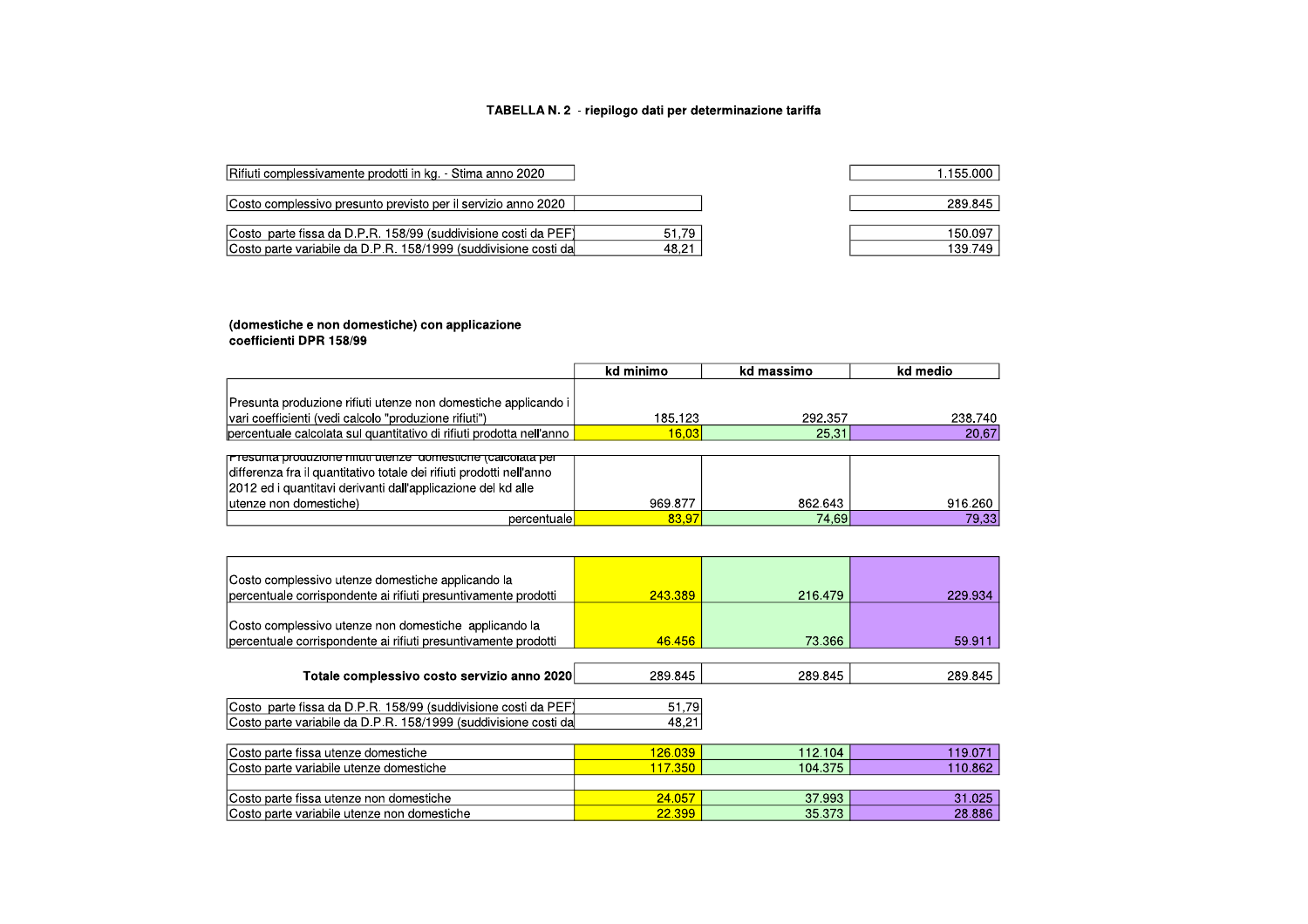#### TABELLA N. 2 - riepilogo dati per determinazione tariffa

1.155.000

289.845 150.097 139.749

| Rifiuti complessivamente prodotti in kg. - Stima anno 2020      |       |
|-----------------------------------------------------------------|-------|
| Costo complessivo presunto previsto per il servizio anno 2020   |       |
|                                                                 |       |
| Costo parte fissa da D.P.R. 158/99 (suddivisione costi da PEF)  | 51.79 |
| Costo parte variabile da D.P.R. 158/1999 (suddivisione costi da | 48,21 |

## (domestiche e non domestiche) con applicazione<br>coefficienti DPR 158/99

|                                                                      | kd minimo | kd massimo | kd medio |
|----------------------------------------------------------------------|-----------|------------|----------|
|                                                                      |           |            |          |
| Presunta produzione rifiuti utenze non domestiche applicando i       |           |            |          |
| vari coefficienti (vedi calcolo "produzione rifiuti")                | 185.123   | 292.357    | 238.740  |
| percentuale calcolata sul quantitativo di rifiuti prodotta nell'anno | 16.03     | 25.31      | 20,67    |
|                                                                      |           |            |          |
| <u>Presunta produzione miuti utenze domestiche (calcolata per</u>    |           |            |          |
| differenza fra il quantitativo totale dei rifiuti prodotti nell'anno |           |            |          |
| 2012 ed i quantitavi derivanti dall'applicazione del kd alle         |           |            |          |
| utenze non domestiche)                                               | 969.877   | 862.643    | 916.260  |
| percentuale                                                          | 83,97     | 74.69      | 79.33    |

| Costo complessivo utenze domestiche applicando la<br>percentuale corrispondente ai rifiuti presuntivamente prodotti               | 243.389          | 216,479          | 229.934          |
|-----------------------------------------------------------------------------------------------------------------------------------|------------------|------------------|------------------|
| Costo complessivo utenze non domestiche applicando la<br>percentuale corrispondente ai rifiuti presuntivamente prodotti           | 46.456           | 73.366           | 59.911           |
| Totale complessivo costo servizio anno 2020                                                                                       | 289.845          | 289.845          | 289.845          |
| Costo parte fissa da D.P.R. 158/99 (suddivisione costi da PEF)<br>Costo parte variabile da D.P.R. 158/1999 (suddivisione costi da | 51,79<br>48,21   |                  |                  |
| Costo parte fissa utenze domestiche                                                                                               | 126.039          | 112.104          | 119.071          |
| Costo parte variabile utenze domestiche                                                                                           | 117.350          | 104.375          | 110.862          |
| Costo parte fissa utenze non domestiche<br>Costo parte variabile utenze non domestiche                                            | 24.057<br>22.399 | 37.993<br>35.373 | 31.025<br>28.886 |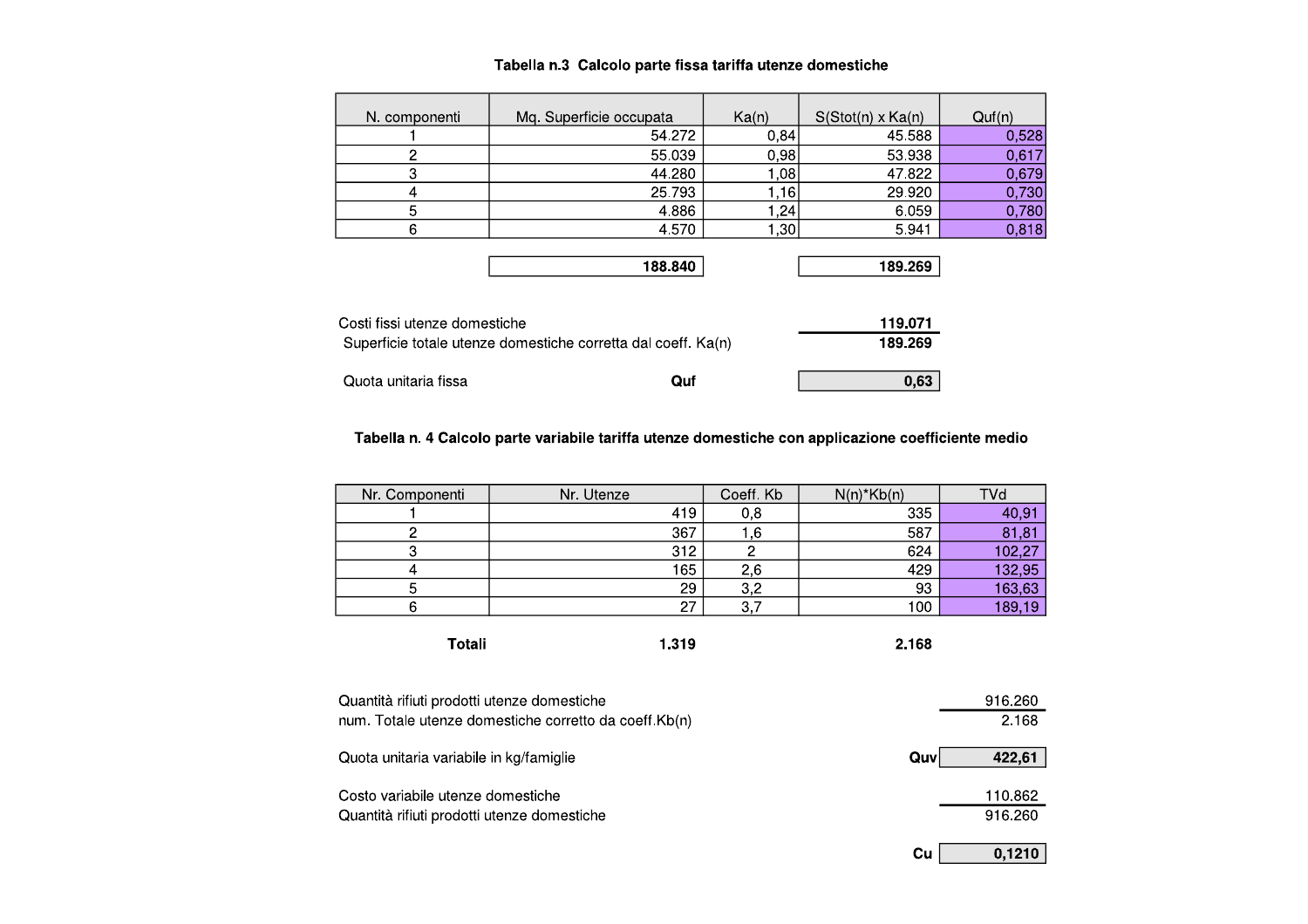| N. componenti | Mq. Superficie occupata | Ka(n) | $S(Stot(n) \times Ka(n))$ | Quf(n) |
|---------------|-------------------------|-------|---------------------------|--------|
|               | 54.272                  | 0,84  | 45.588                    | 0,528  |
| 2             | 55.039                  | 0,98  | 53.938                    | 0,617  |
| 3             | 44.280                  | 1,08  | 47.822                    | 0,679  |
|               | 25.793                  | 1,16  | 29.920                    | 0,730  |
| 5             | 4.886                   | 1,24  | 6.059                     | 0,780  |
| 6             | 4.570                   | 1,30  | 5.941                     | 0,818  |
|               |                         |       |                           |        |
|               | 188.840                 |       | 189.269                   |        |

| Costi fissi utenze domestiche                                 |         | 119.071 |
|---------------------------------------------------------------|---------|---------|
| Superficie totale utenze domestiche corretta dal coeff. Ka(n) | 189.269 |         |
| Quota unitaria fissa                                          | Ouf     | 0.63    |

#### Tabella n. 4 Calcolo parte variabile tariffa utenze domestiche con applicazione coefficiente medio

| Nr. Componenti                                                                                       | Nr. Utenze | Coeff. Kb | $N(n)$ * $Kb(n)$ | TVd     |
|------------------------------------------------------------------------------------------------------|------------|-----------|------------------|---------|
|                                                                                                      | 419        | 0,8       | 335              | 40,91   |
| 2                                                                                                    | 367        | 1,6       | 587              | 81,81   |
| 3                                                                                                    | 312        | 2         | 624              | 102,27  |
| 4                                                                                                    | 165        | 2,6       | 429              | 132,95  |
| 5                                                                                                    | 29         | 3,2       | 93               | 163,63  |
| 6                                                                                                    | 27         | 3,7       | 100              | 189,19  |
| Totali                                                                                               | 1.319      |           | 2.168            |         |
| Quantità rifiuti prodotti utenze domestiche<br>num. Totale utenze domestiche corretto da coeff.Kb(n) |            |           |                  |         |
|                                                                                                      |            |           |                  | 2.168   |
| Quota unitaria variabile in kg/famiglie                                                              |            |           | Quv              | 422,61  |
| Costo variabile utenze domestiche                                                                    |            |           |                  |         |
| Quantità rifiuti prodotti utenze domestiche                                                          |            |           |                  | 916.260 |
|                                                                                                      |            |           | Cu               | 0,1210  |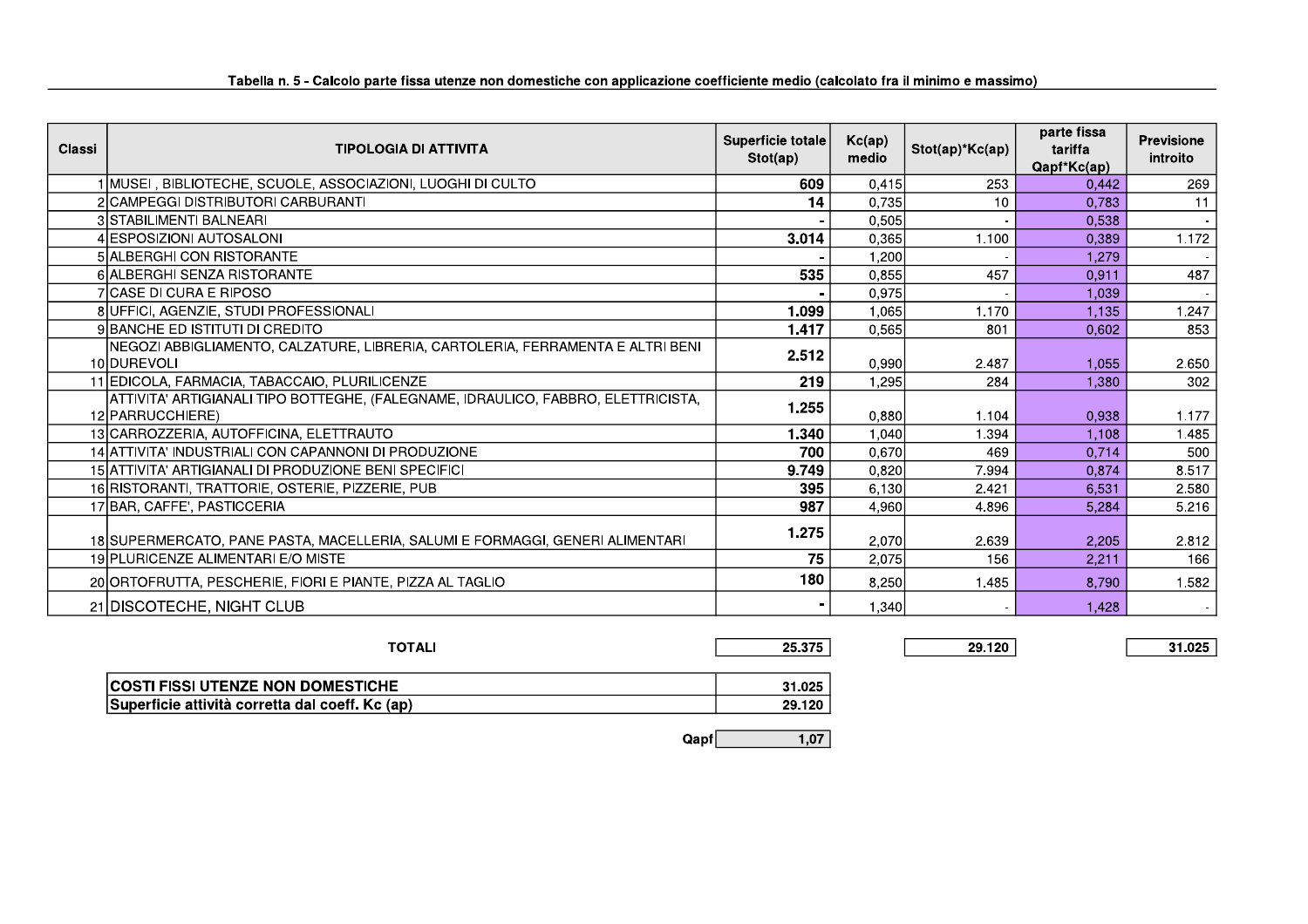| <b>Classi</b><br><b>TIPOLOGIA DI ATTIVITA</b>                                                         | Superficie totale<br>Stot(ap) | Kc(ap)<br>medio | Stot(ap)*Kc(ap) | parte fissa<br>tariffa<br>Qapf*Kc(ap) | <b>Previsione</b><br>introito |
|-------------------------------------------------------------------------------------------------------|-------------------------------|-----------------|-----------------|---------------------------------------|-------------------------------|
| I MUSEI , BIBLIOTECHE, SCUOLE, ASSOCIAZIONI, LUOGHI DI CULTO                                          | 609                           | 0,415           | 253             | 0.442                                 | 269                           |
| 2 CAMPEGGI DISTRIBUTORI CARBURANTI                                                                    | 14                            | 0.735           | 10              | 0.783                                 | 11                            |
| 3 STABILIMENTI BALNEARI                                                                               |                               | 0,505           |                 | 0,538                                 |                               |
| 4 IESPOSIZIONI AUTOSALONI                                                                             | 3.014                         | 0,365           | 1.100           | 0,389                                 | 1.172                         |
| 5 ALBERGHI CON RISTORANTE                                                                             |                               | 1,200           |                 | 1.279                                 |                               |
| 6 ALBERGHI SENZA RISTORANTE                                                                           | 535                           | 0,855           | 457             | 0.911                                 | 487                           |
| 7 ICASE DI CURA E RIPOSO                                                                              |                               | 0,975           |                 | 1,039                                 |                               |
| 8 UFFICI, AGENZIE, STUDI PROFESSIONALI                                                                | 1.099                         | 1,065           | 1.170           | 1,135                                 | 1.247                         |
| 9 BANCHE ED ISTITUTI DI CREDITO                                                                       | 1.417                         | 0.565           | 801             | 0.602                                 | 853                           |
| NEGOZI ABBIGLIAMENTO, CALZATURE, LIBRERIA, CARTOLERIA, FERRAMENTA E ALTRI BENI<br>10 DUREVOLI         | 2.512                         | 0,990           | 2.487           | 1.055                                 | 2.650                         |
| 11 EDICOLA, FARMACIA, TABACCAIO, PLURILICENZE                                                         | 219                           | 1.295           | 284             | 1.380                                 | 302                           |
| ATTIVITA' ARTIGIANALI TIPO BOTTEGHE, (FALEGNAME, IDRAULICO, FABBRO, ELETTRICISTA,<br>12 PARRUCCHIERE) | 1.255                         | 0.880           | 1.104           | 0.938                                 | 1.177                         |
| 13 CARROZZERIA, AUTOFFICINA, ELETTRAUTO                                                               | 1.340                         | 1,040           | 1.394           | 1.108                                 | 1.485                         |
| 14 ATTIVITA' INDUSTRIALI CON CAPANNONI DI PRODUZIONE                                                  | 700                           | 0,670           | 469             | 0,714                                 | 500                           |
| 15 ATTIVITA' ARTIGIANALI DI PRODUZIONE BENI SPECIFICI                                                 | 9.749                         | 0,820           | 7.994           | 0.874                                 | 8.517                         |
| 16 RISTORANTI, TRATTORIE, OSTERIE, PIZZERIE, PUB                                                      | 395                           | 6,130           | 2.421           | 6,531                                 | 2.580                         |
| 17 BAR, CAFFE', PASTICCERIA                                                                           | 987                           | 4.960           | 4.896           | 5.284                                 | 5.216                         |
| 18 SUPERMERCATO, PANE PASTA, MACELLERIA, SALUMI E FORMAGGI, GENERI ALIMENTARI                         | 1.275                         | 2,070           | 2.639           | 2,205                                 | 2.812                         |
| 19 PLURICENZE ALIMENTARI E/O MISTE                                                                    | 75                            | 2,075           | 156             | 2,211                                 | 166                           |
| 20 ORTOFRUTTA, PESCHERIE, FIORI E PIANTE, PIZZA AL TAGLIO                                             | 180                           | 8,250           | 1.485           | 8.790                                 | 1.582                         |
| 21 DISCOTECHE, NIGHT CLUB                                                                             |                               | 1,340           |                 | 1,428                                 |                               |

| <b>TOTALI</b>                                   | 25.375 |  |
|-------------------------------------------------|--------|--|
|                                                 |        |  |
| <b>COSTI FISSI UTENZE NON DOMESTICHE</b>        | 31.025 |  |
| Superficie attività corretta dal coeff. Kc (ap) | 29.120 |  |

29.120

31.025

 $Qapf$  $1,07$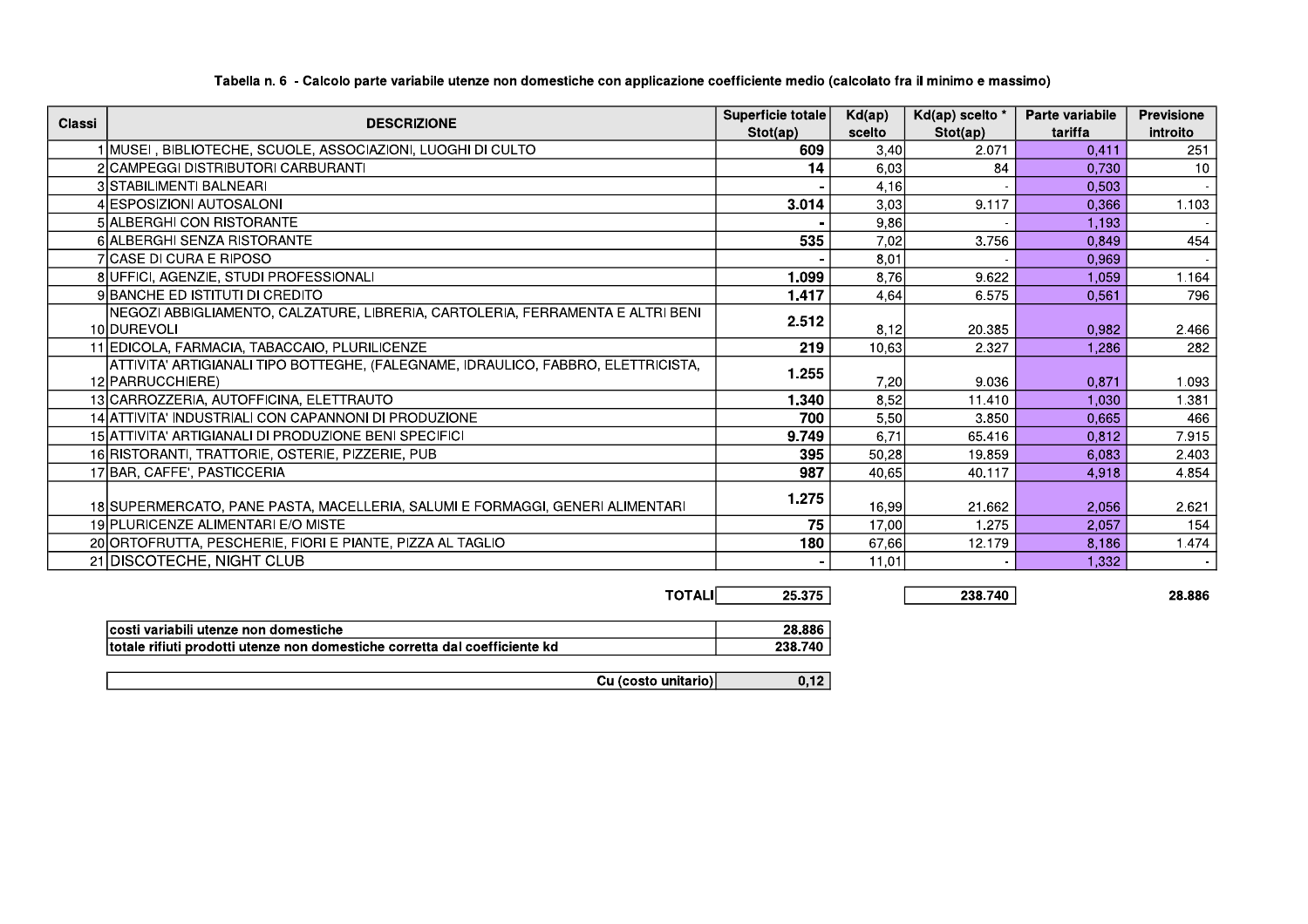| Classi | <b>DESCRIZIONE</b>                                                                | Superficie totale | Kd(ap) | Kd(ap) scelto * | Parte variabile | <b>Previsione</b> |
|--------|-----------------------------------------------------------------------------------|-------------------|--------|-----------------|-----------------|-------------------|
|        |                                                                                   | Stot(ap)          | scelto | Stot(ap)        | tariffa         | introito          |
|        | 1 MUSEI, BIBLIOTECHE, SCUOLE, ASSOCIAZIONI, LUOGHI DI CULTO                       | 609               | 3,40   | 2.071           | 0.411           | 251               |
|        | 2 CAMPEGGI DISTRIBUTORI CARBURANTI                                                | 14                | 6,03   | 84              | 0.730           | 10                |
|        | 3 STABILIMENTI BALNEARI                                                           |                   | 4,16   |                 | 0.503           |                   |
|        | 4 ESPOSIZIONI AUTOSALONI                                                          | 3.014             | 3,03   | 9.117           | 0.366           | 1.103             |
|        | 5 ALBERGHI CON RISTORANTE                                                         |                   | 9,86   |                 | 1,193           |                   |
|        | 6 ALBERGHI SENZA RISTORANTE                                                       | 535               | 7,02   | 3.756           | 0,849           | 454               |
|        | <b>7 CASE DI CURA E RIPOSO</b>                                                    |                   | 8,01   |                 | 0,969           |                   |
|        | 8 UFFICI, AGENZIE, STUDI PROFESSIONALI                                            | 1.099             | 8.76   | 9.622           | 1.059           | 1.164             |
|        | 9 BANCHE ED ISTITUTI DI CREDITO                                                   | 1.417             | 4,64   | 6.575           | 0.561           | 796               |
|        | NEGOZI ABBIGLIAMENTO, CALZATURE, LIBRERIA, CARTOLERIA, FERRAMENTA E ALTRI BENI    | 2.512             |        |                 |                 |                   |
|        | 10 DUREVOLI                                                                       |                   | 8,12   | 20.385          | 0.982           | 2.466             |
|        | 11 EDICOLA, FARMACIA, TABACCAIO, PLURILICENZE                                     | 219               | 10,63  | 2.327           | 1.286           | 282               |
|        | ATTIVITA' ARTIGIANALI TIPO BOTTEGHE, (FALEGNAME, IDRAULICO, FABBRO, ELETTRICISTA, | 1.255             |        |                 |                 |                   |
|        | 12 PARRUCCHIERE)                                                                  |                   | 7,20   | 9.036           | 0.871           | 1.093             |
|        | 13 CARROZZERIA, AUTOFFICINA, ELETTRAUTO                                           | 1.340             | 8,52   | 11.410          | 1.030           | 1.381             |
|        | 14 ATTIVITA' INDUSTRIALI CON CAPANNONI DI PRODUZIONE                              | 700               | 5,50   | 3.850           | 0,665           | 466               |
|        | 15 ATTIVITA' ARTIGIANALI DI PRODUZIONE BENI SPECIFICI                             | 9.749             | 6,71   | 65.416          | 0.812           | 7.915             |
|        | 16 RISTORANTI, TRATTORIE, OSTERIE, PIZZERIE, PUB                                  | 395               | 50,28  | 19.859          | 6,083           | 2.403             |
|        | 17 BAR, CAFFE', PASTICCERIA                                                       | 987               | 40,65  | 40.117          | 4,918           | 4.854             |
|        |                                                                                   | 1.275             |        |                 |                 |                   |
|        | 18 SUPERMERCATO, PANE PASTA, MACELLERIA, SALUMI E FORMAGGI, GENERI ALIMENTARI     |                   | 16,99  | 21.662          | 2.056           | 2.621             |
|        | 19 PLURICENZE ALIMENTARI E/O MISTE                                                | 75                | 17,00  | 1.275           | 2,057           | 154               |
|        | 20 ORTOFRUTTA, PESCHERIE, FIORI E PIANTE, PIZZA AL TAGLIO                         | 180               | 67,66  | 12.179          | 8,186           | 1.474             |
|        | 21 DISCOTECHE, NIGHT CLUB                                                         |                   | 11.01  |                 | 1,332           |                   |

#### Tabella n. 6 - Calcolo parte variabile utenze non domestiche con applicazione coefficiente medio (calcolato fra il minimo e massimo)

**TOTALI** 25.375 28.886

238.740

| costi variabili utenze non domestiche                                      | 28.886  |
|----------------------------------------------------------------------------|---------|
| totale rifiuti prodotti utenze non domestiche corretta dal coefficiente kd | 238.740 |
|                                                                            |         |

Cu (costo unitario)  $0,12$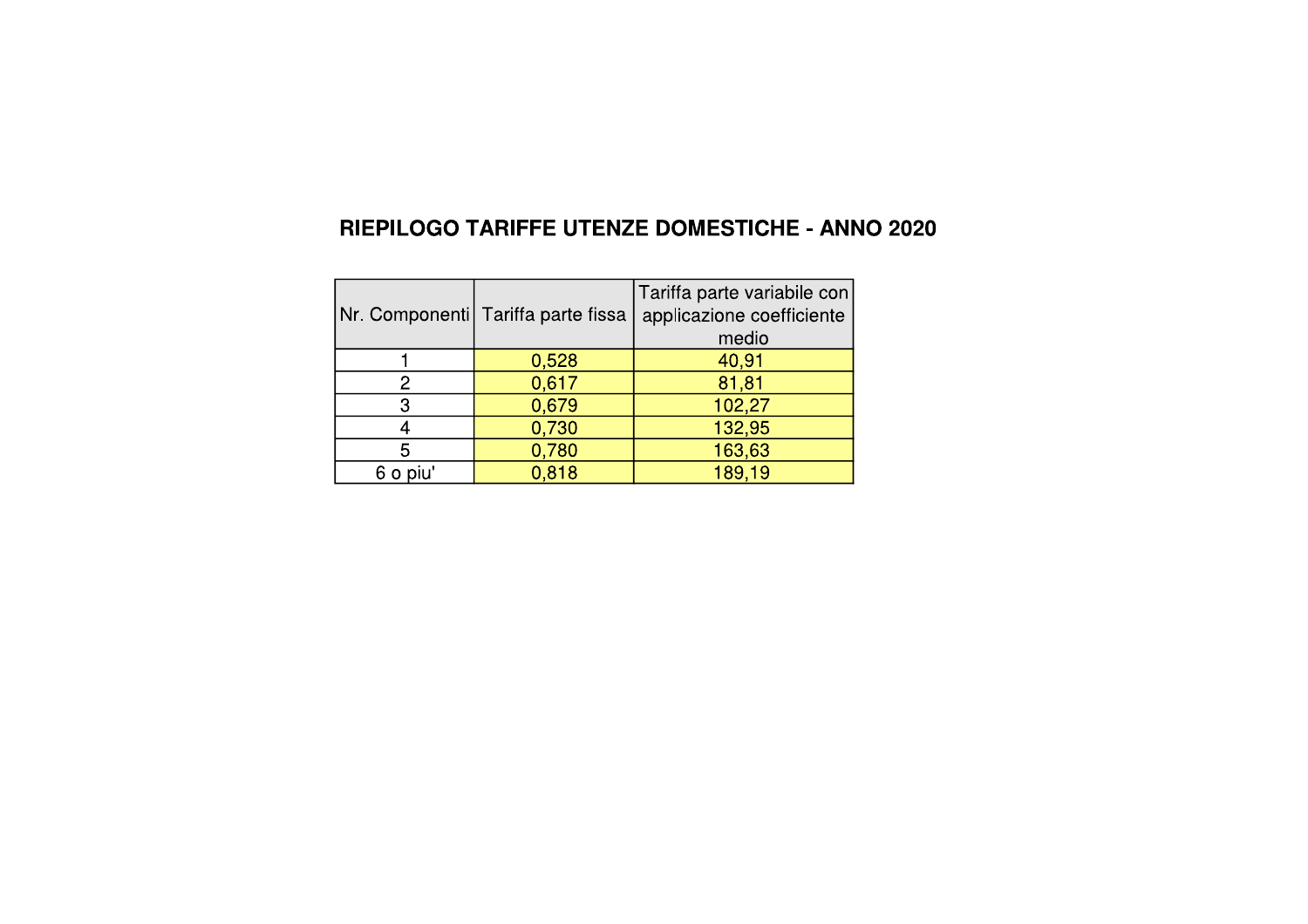## RIEPILOGO TARIFFE UTENZE DOMESTICHE - ANNO 2020

|             | Nr. Componenti Tariffa parte fissa | Tariffa parte variabile con<br>applicazione coefficiente<br>medio |
|-------------|------------------------------------|-------------------------------------------------------------------|
|             |                                    |                                                                   |
|             | 0,528                              | 40,91                                                             |
|             | 0,617                              | 81,81                                                             |
| З           | 0,679                              | 102,27                                                            |
|             | 0,730                              | 132,95                                                            |
| 5           | 0,780                              | 163,63                                                            |
| piu'<br>6 o | 0,818                              | 189,19                                                            |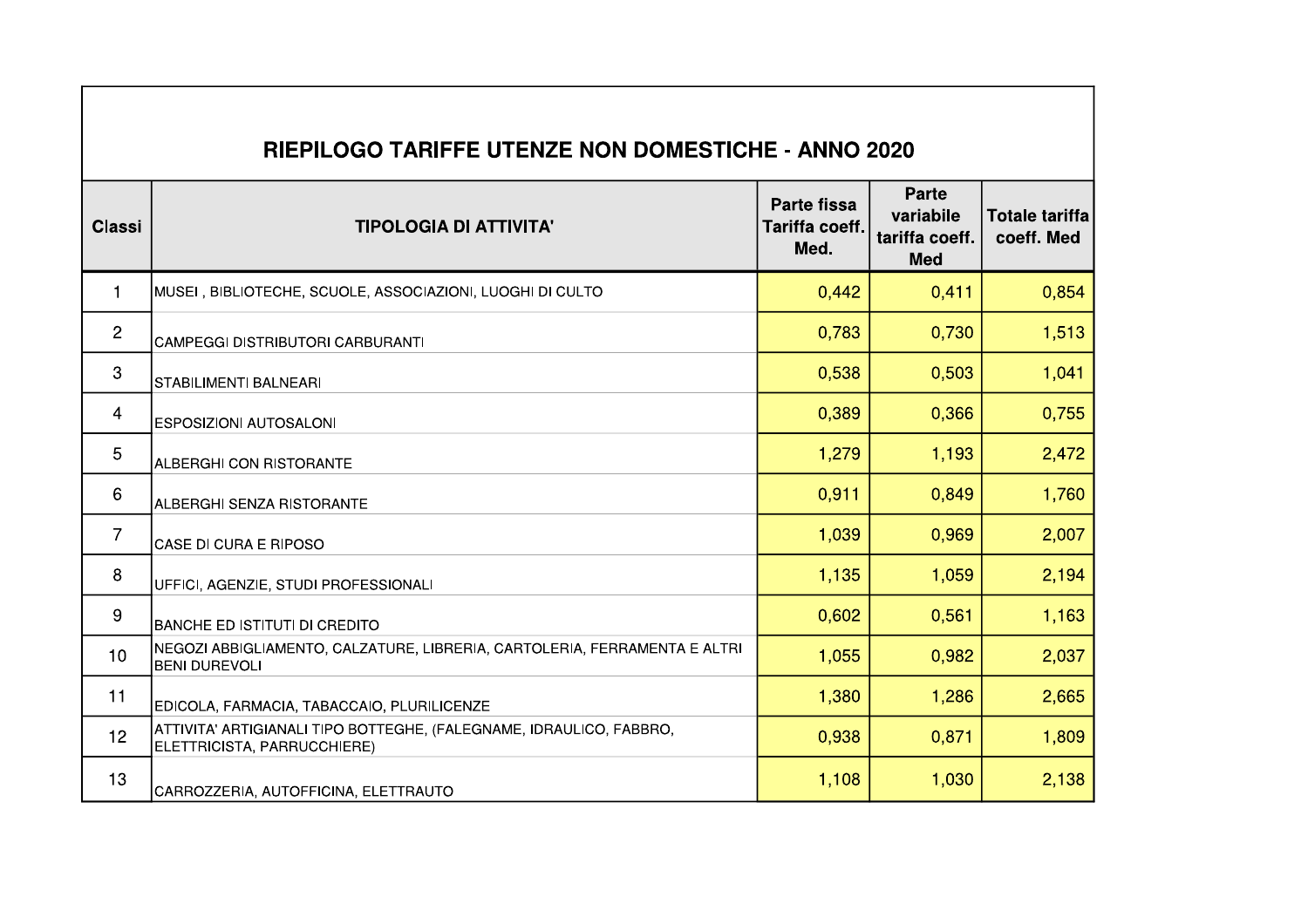| <b>RIEPILOGO TARIFFE UTENZE NON DOMESTICHE - ANNO 2020</b> |                                                                                                    |                                              |                                                           |                                     |  |  |  |
|------------------------------------------------------------|----------------------------------------------------------------------------------------------------|----------------------------------------------|-----------------------------------------------------------|-------------------------------------|--|--|--|
| <b>Classi</b>                                              | <b>TIPOLOGIA DI ATTIVITA'</b>                                                                      | <b>Parte fissa</b><br>Tariffa coeff.<br>Med. | <b>Parte</b><br>variabile<br>tariffa coeff.<br><b>Med</b> | <b>Totale tariffa</b><br>coeff. Med |  |  |  |
| $\mathbf 1$                                                | MUSEI, BIBLIOTECHE, SCUOLE, ASSOCIAZIONI, LUOGHI DI CULTO                                          | 0,442                                        | 0,411                                                     | 0,854                               |  |  |  |
| $\overline{c}$                                             | CAMPEGGI DISTRIBUTORI CARBURANTI                                                                   | 0,783                                        | 0,730                                                     | 1,513                               |  |  |  |
| $\mathbf{3}$                                               | <b>STABILIMENTI BALNEARI</b>                                                                       | 0,538                                        | 0,503                                                     | 1,041                               |  |  |  |
| $\overline{\mathbf{4}}$                                    | <b>ESPOSIZIONI AUTOSALONI</b>                                                                      | 0,389                                        | 0,366                                                     | 0,755                               |  |  |  |
| $\overline{5}$                                             | <b>ALBERGHI CON RISTORANTE</b>                                                                     | 1,279                                        | 1,193                                                     | 2,472                               |  |  |  |
| $6\,$                                                      | ALBERGHI SENZA RISTORANTE                                                                          | 0,911                                        | 0,849                                                     | 1,760                               |  |  |  |
| $\overline{7}$                                             | CASE DI CURA E RIPOSO                                                                              | 1,039                                        | 0,969                                                     | 2,007                               |  |  |  |
| 8                                                          | UFFICI, AGENZIE, STUDI PROFESSIONALI                                                               | 1,135                                        | 1,059                                                     | 2,194                               |  |  |  |
| 9                                                          | BANCHE ED ISTITUTI DI CREDITO                                                                      | 0,602                                        | 0,561                                                     | 1,163                               |  |  |  |
| 10                                                         | NEGOZI ABBIGLIAMENTO, CALZATURE, LIBRERIA, CARTOLERIA, FERRAMENTA E ALTRI<br><b>BENI DUREVOLI</b>  | 1,055                                        | 0,982                                                     | 2,037                               |  |  |  |
| 11                                                         | EDICOLA, FARMACIA, TABACCAIO, PLURILICENZE                                                         | 1,380                                        | 1,286                                                     | 2,665                               |  |  |  |
| 12                                                         | ATTIVITA' ARTIGIANALI TIPO BOTTEGHE, (FALEGNAME, IDRAULICO, FABBRO,<br>ELETTRICISTA, PARRUCCHIERE) | 0,938                                        | 0,871                                                     | 1,809                               |  |  |  |
| 13                                                         | CARROZZERIA, AUTOFFICINA, ELETTRAUTO                                                               | 1,108                                        | 1,030                                                     | 2,138                               |  |  |  |